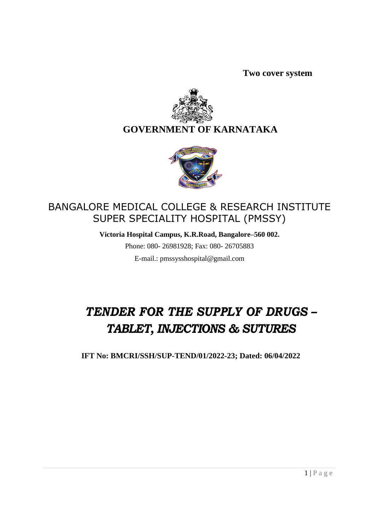**Two cover system**



# **GOVERNMENT OF KARNATAKA**



# BANGALORE MEDICAL COLLEGE & RESEARCH INSTITUTE SUPER SPECIALITY HOSPITAL (PMSSY)

**Victoria Hospital Campus, K.R.Road, Bangalore–560 002.**

Phone: 080- 26981928; Fax: 080- 26705883 E-mail.: [pmssysshospital@gmail.com](mailto:pmssysshospital@gmail.com)

# *TENDER FOR THE SUPPLY OF DRUGS – TABLET, INJECTIONS & SUTURES*

**IFT No: BMCRI/SSH/SUP-TEND/01/2022-23; Dated: 06/04/2022**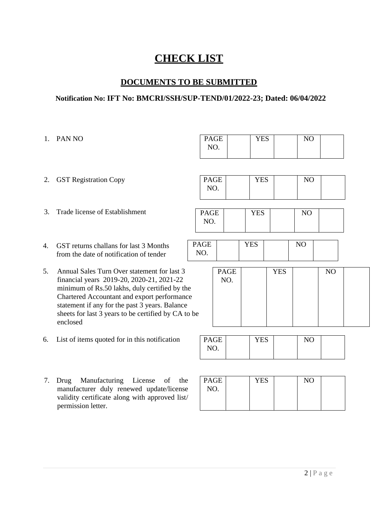# **CHECK LIST**

# **DOCUMENTS TO BE SUBMITTED**

## **Notification No: IFT No: BMCRI/SSH/SUP-TEND/01/2022-23; Dated: 06/04/2022**

1. PAN NO 2. GST Registration Copy 3. Trade license of Establishment 4. GST returns challans for last 3 Months from the date of notification of tender 5. Annual Sales Turn Over statement for last 3 financial years 2019-20, 2020-21, 2021-22 minimum of Rs.50 lakhs, duly certified by the Chartered Accountant and export performance statement if any for the past 3 years. Balance sheets for last 3 years to be certified by CA to be enclosed 6. List of items quoted for in this notification 7. Drug Manufacturing License of the manufacturer duly renewed update/license PAGE NO. YES NO PAGE NO. YES NO PAGE NO. YES NO PAGE NO. YES NO PAGE NO. YES NO PAGE NO. YES NO PAGE NO. YES NO

validity certificate along with approved list/

permission letter.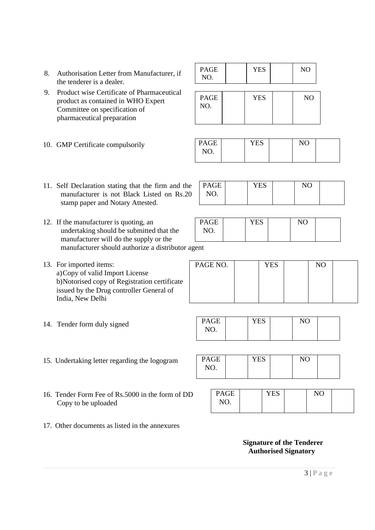- 8. Authorisation Letter from Manufacturer, if the tenderer is a dealer.
- 9. Product wise Certificate of Pharmaceutical product as contained in WHO Expert Committee on specification of pharmaceutical preparation
- 10. GMP Certificate compulsorily

| <b>PAGE</b><br>NO. | <b>YES</b> | NO             |
|--------------------|------------|----------------|
| PAGE<br>NO.        | <b>YES</b> | N <sub>O</sub> |

| <b>PAGE</b> | <b>YES</b> | NC |  |
|-------------|------------|----|--|
| NO.         |            |    |  |
|             |            |    |  |

YES NO

YES NO

PAGE NO.

PAGE NO.

PAGE

- 11. Self Declaration stating that the firm and the manufacturer is not Black Listed on Rs.20 stamp paper and Notary Attested.
- 12. If the manufacturer is quoting, an undertaking should be submitted that the manufacturer will do the supply or the manufacturer should authorize a distributor agent
- 13. For imported items: a)Copy of valid Import License b)Notorised copy of Registration certificate issued by the Drug controller General of India, New Delhi

| PAGE NO. | <b>YES</b> | NO |  |
|----------|------------|----|--|
|          |            |    |  |
|          |            |    |  |
|          |            |    |  |

14. Tender form duly signed

| PAGE | <b>YES</b> | NC |  |
|------|------------|----|--|
|      |            |    |  |
| NO.  |            |    |  |
|      |            |    |  |
|      |            |    |  |
|      |            |    |  |

- 15. Undertaking letter regarding the logogram
- 16. Tender Form Fee of Rs.5000 in the form of DD Copy to be uploaded

| NO. |  |  |  |  |
|-----|--|--|--|--|
|     |  |  |  |  |

| <b>PAGE</b> | $\sqrt{2}$<br>Y EZ | $\mathbf{X}$ |  |
|-------------|--------------------|--------------|--|
| NO.         |                    |              |  |
|             |                    |              |  |

YES NO

17. Other documents as listed in the annexures

#### **Signature of the Tenderer Authorised Signatory**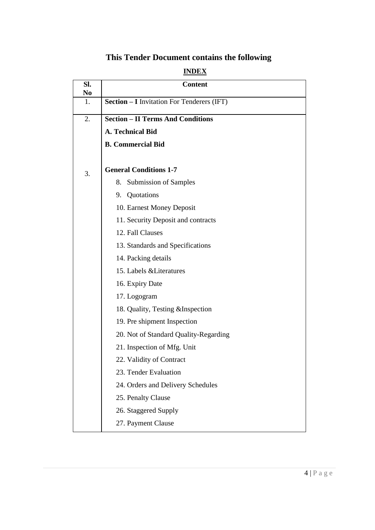# **This Tender Document contains the following**

# **INDEX**

| Sl.<br>N <sub>0</sub> | <b>Content</b>                                    |
|-----------------------|---------------------------------------------------|
| 1.                    | <b>Section - I</b> Invitation For Tenderers (IFT) |
| 2.                    | <b>Section - II Terms And Conditions</b>          |
|                       | <b>A. Technical Bid</b>                           |
|                       | <b>B.</b> Commercial Bid                          |
| 3.                    | <b>General Conditions 1-7</b>                     |
|                       | <b>Submission of Samples</b><br>8.                |
|                       | 9. Quotations                                     |
|                       | 10. Earnest Money Deposit                         |
|                       | 11. Security Deposit and contracts                |
|                       | 12. Fall Clauses                                  |
|                       | 13. Standards and Specifications                  |
|                       | 14. Packing details                               |
|                       | 15. Labels & Literatures                          |
|                       | 16. Expiry Date                                   |
|                       | 17. Logogram                                      |
|                       | 18. Quality, Testing & Inspection                 |
|                       | 19. Pre shipment Inspection                       |
|                       | 20. Not of Standard Quality-Regarding             |
|                       | 21. Inspection of Mfg. Unit                       |
|                       | 22. Validity of Contract                          |
|                       | 23. Tender Evaluation                             |
|                       | 24. Orders and Delivery Schedules                 |
|                       | 25. Penalty Clause                                |
|                       | 26. Staggered Supply                              |
|                       | 27. Payment Clause                                |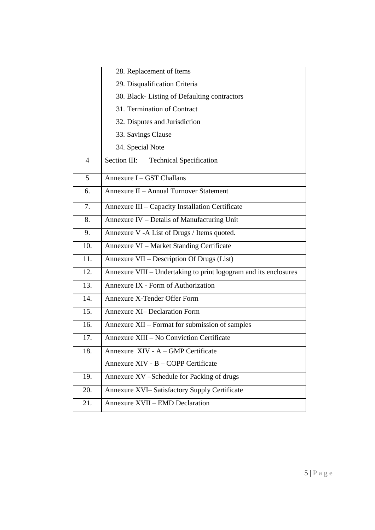|                | 28. Replacement of Items                                         |
|----------------|------------------------------------------------------------------|
|                | 29. Disqualification Criteria                                    |
|                | 30. Black-Listing of Defaulting contractors                      |
|                | 31. Termination of Contract                                      |
|                | 32. Disputes and Jurisdiction                                    |
|                | 33. Savings Clause                                               |
|                | 34. Special Note                                                 |
| $\overline{4}$ | <b>Technical Specification</b><br>Section III:                   |
| 5              | Annexure I - GST Challans                                        |
| 6.             | Annexure II - Annual Turnover Statement                          |
| 7.             | Annexure III - Capacity Installation Certificate                 |
| 8.             | Annexure IV - Details of Manufacturing Unit                      |
| 9.             | Annexure V -A List of Drugs / Items quoted.                      |
| 10.            | Annexure VI - Market Standing Certificate                        |
| 11.            | Annexure VII - Description Of Drugs (List)                       |
| 12.            | Annexure VIII - Undertaking to print logogram and its enclosures |
| 13.            | Annexure IX - Form of Authorization                              |
| 14.            | Annexure X-Tender Offer Form                                     |
| 15.            | <b>Annexure XI- Declaration Form</b>                             |
| 16.            | Annexure XII - Format for submission of samples                  |
| 17.            | Annexure XIII - No Conviction Certificate                        |
| 18.            | Annexure XIV - A - GMP Certificate                               |
|                | Annexure XIV - B - COPP Certificate                              |
| 19.            | Annexure XV - Schedule for Packing of drugs                      |
| 20.            | Annexure XVI-Satisfactory Supply Certificate                     |
| 21.            | Annexure XVII - EMD Declaration                                  |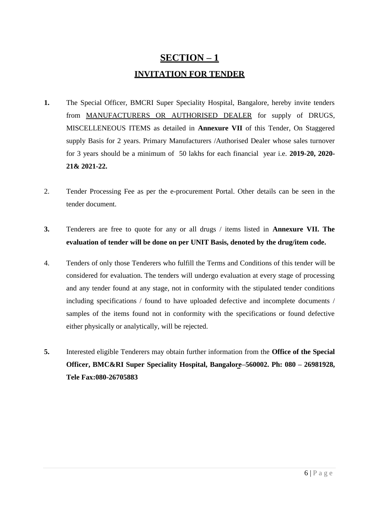# **SECTION – 1 INVITATION FOR TENDER**

- **1.** The Special Officer, BMCRI Super Speciality Hospital, Bangalore, hereby invite tenders from MANUFACTURERS OR AUTHORISED DEALER for supply of DRUGS, MISCELLENEOUS ITEMS as detailed in **Annexure VII** of this Tender, On Staggered supply Basis for 2 years. Primary Manufacturers /Authorised Dealer whose sales turnover for 3 years should be a minimum of 50 lakhs for each financial year i.e. **2019-20, 2020- 21& 2021-22.**
- 2. Tender Processing Fee as per the e-procurement Portal. Other details can be seen in the tender document.
- **3.** Tenderers are free to quote for any or all drugs / items listed in **Annexure VII. The evaluation of tender will be done on per UNIT Basis, denoted by the drug/item code.**
- 4. Tenders of only those Tenderers who fulfill the Terms and Conditions of this tender will be considered for evaluation. The tenders will undergo evaluation at every stage of processing and any tender found at any stage, not in conformity with the stipulated tender conditions including specifications / found to have uploaded defective and incomplete documents / samples of the items found not in conformity with the specifications or found defective either physically or analytically, will be rejected.
- **5.** Interested eligible Tenderers may obtain further information from the **Office of the Special Officer, BMC&RI Super Speciality Hospital, Bangalore–560002. Ph: 080 – 26981928, Tele Fax:080-26705883**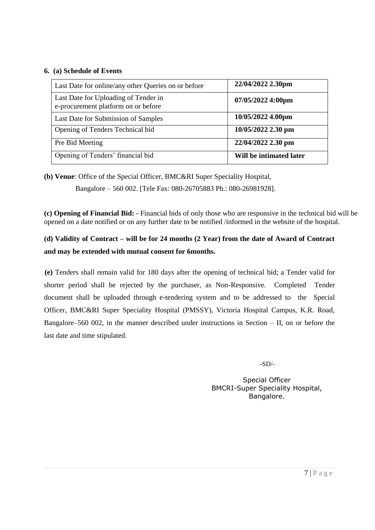#### **6. (a) Schedule of Events**

| Last Date for online/any other Queries on or before                         | 22/04/2022 2.30pm       |
|-----------------------------------------------------------------------------|-------------------------|
| Last Date for Uploading of Tender in<br>e-procurement platform on or before | 07/05/2022 4:00pm       |
| Last Date for Submission of Samples                                         | 10/05/2022 4.00pm       |
| Opening of Tenders Technical bid                                            | 10/05/2022 2.30 pm      |
| Pre Bid Meeting                                                             | 22/04/2022 2.30 pm      |
| Opening of Tenders' financial bid                                           | Will be intimated later |

**(b) Venue**: Office of the Special Officer, BMC&RI Super Speciality Hospital,

Bangalore – 560 002. [Tele Fax: 080-26705883 Ph.: 080-26981928].

**(c) Opening of Financial Bid: -** Financial bids of only those who are responsive in the technical bid will be opened on a date notified or on any further date to be notified /informed in the website of the hospital.

# **(d) Validity of Contract – will be for 24 months (2 Year) from the date of Award of Contract and may be extended with mutual consent for 6months.**

**(e)** Tenders shall remain valid for 180 days after the opening of technical bid; a Tender valid for shorter period shall be rejected by the purchaser, as Non-Responsive. Completed Tender document shall be uploaded through e-tendering system and to be addressed to the Special Officer, BMC&RI Super Speciality Hospital (PMSSY), Victoria Hospital Campus, K.R. Road, Bangalore–560 002, in the manner described under instructions in Section – II, on or before the last date and time stipulated.

-SD/-

Special Officer BMCRI-Super Speciality Hospital, Bangalore.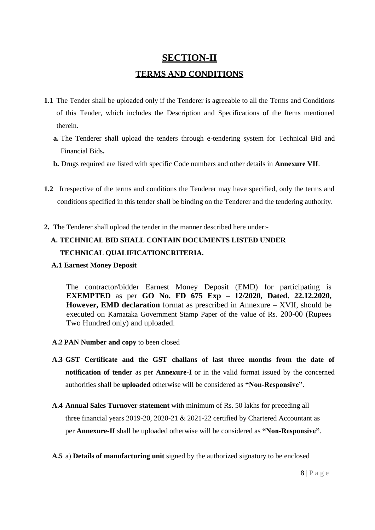# **SECTION-II TERMS AND CONDITIONS**

- **1.1** The Tender shall be uploaded only if the Tenderer is agreeable to all the Terms and Conditions of this Tender, which includes the Description and Specifications of the Items mentioned therein.
	- **a.** The Tenderer shall upload the tenders through e-tendering system for Technical Bid and Financial Bids**.**
	- **b.** Drugs required are listed with specific Code numbers and other details in **Annexure VII**.
- **1.2** Irrespective of the terms and conditions the Tenderer may have specified, only the terms and conditions specified in this tender shall be binding on the Tenderer and the tendering authority.
- **2.** The Tenderer shall upload the tender in the manner described here under:-

# **A. TECHNICAL BID SHALL CONTAIN DOCUMENTS LISTED UNDER TECHNICAL QUALIFICATIONCRITERIA.**

**A.1 Earnest Money Deposit**

The contractor/bidder Earnest Money Deposit (EMD) for participating is **EXEMPTED** as per **GO No. FD 675 Exp – 12/2020, Dated. 22.12.2020, However, EMD declaration** format as prescribed in Annexure – XVII, should be executed on Karnataka Government Stamp Paper of the value of Rs. 200-00 (Rupees Two Hundred only) and uploaded.

- **A.2 PAN Number and copy** to been closed
- **A.3 GST Certificate and the GST challans of last three months from the date of notification of tender** as per **Annexure-I** or in the valid format issued by the concerned authorities shall be **uploaded** otherwise will be considered as **"Non-Responsive"**.
- **A.4 Annual Sales Turnover statement** with minimum of Rs. 50 lakhs for preceding all three financial years 2019-20, 2020-21 & 2021-22 certified by Chartered Accountant as per **Annexure-II** shall be uploaded otherwise will be considered as **"Non-Responsive"**.
- **A.5** a) **Details of manufacturing unit** signed by the authorized signatory to be enclosed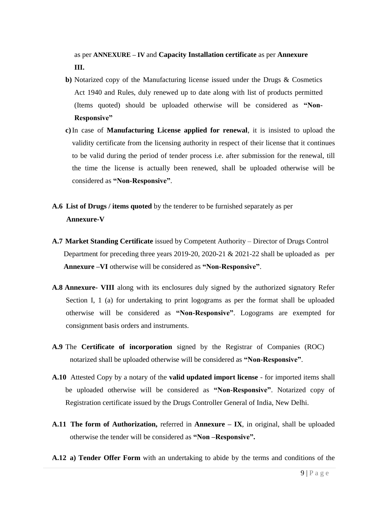as per **ANNEXURE – IV** and **Capacity Installation certificate** as per **Annexure III.**

- **b)** Notarized copy of the Manufacturing license issued under the Drugs & Cosmetics Act 1940 and Rules, duly renewed up to date along with list of products permitted (Items quoted) should be uploaded otherwise will be considered as **"Non-Responsive"**
- **c)**In case of **Manufacturing License applied for renewal**, it is insisted to upload the validity certificate from the licensing authority in respect of their license that it continues to be valid during the period of tender process i.e. after submission for the renewal, till the time the license is actually been renewed, shall be uploaded otherwise will be considered as **"Non-Responsive"**.
- **A.6 List of Drugs / items quoted** by the tenderer to be furnished separately as per **Annexure-V**
- **A.7 Market Standing Certificate** issued by Competent Authority Director of Drugs Control Department for preceding three years 2019-20, 2020-21 & 2021-22 shall be uploaded as per **Annexure –VI** otherwise will be considered as **"Non-Responsive"**.
- **A.8 Annexure- VIII** along with its enclosures duly signed by the authorized signatory Refer Section I, 1 (a) for undertaking to print logograms as per the format shall be uploaded otherwise will be considered as **"Non-Responsive"**. Logograms are exempted for consignment basis orders and instruments.
- **A.9** The **Certificate of incorporation** signed by the Registrar of Companies (ROC) notarized shall be uploaded otherwise will be considered as **"Non-Responsive"**.
- **A.10** Attested Copy by a notary of the **valid updated import license**  for imported items shall be uploaded otherwise will be considered as **"Non-Responsive"**. Notarized copy of Registration certificate issued by the Drugs Controller General of India, New Delhi.
- **A.11 The form of Authorization,** referred in **Annexure – IX**, in original, shall be uploaded otherwise the tender will be considered as **"Non –Responsive".**
- **A.12 a) Tender Offer Form** with an undertaking to abide by the terms and conditions of the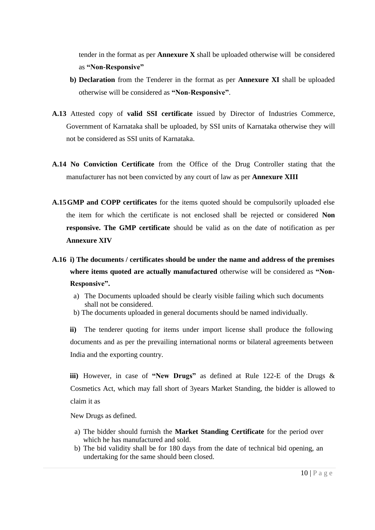tender in the format as per **Annexure X** shall be uploaded otherwise will be considered as **"Non-Responsive"**

- **b) Declaration** from the Tenderer in the format as per **Annexure XI** shall be uploaded otherwise will be considered as **"Non-Responsive"**.
- **A.13** Attested copy of **valid SSI certificate** issued by Director of Industries Commerce, Government of Karnataka shall be uploaded, by SSI units of Karnataka otherwise they will not be considered as SSI units of Karnataka.
- **A.14 No Conviction Certificate** from the Office of the Drug Controller stating that the manufacturer has not been convicted by any court of law as per **Annexure XIII**
- **A.15GMP and COPP certificates** for the items quoted should be compulsorily uploaded else the item for which the certificate is not enclosed shall be rejected or considered **Non responsive. The GMP certificate** should be valid as on the date of notification as per **Annexure XIV**
- **A.16 i) The documents / certificates should be under the name and address of the premises where items quoted are actually manufactured** otherwise will be considered as **"Non-Responsive".**
	- a) The Documents uploaded should be clearly visible failing which such documents shall not be considered.
	- b) The documents uploaded in general documents should be named individually.

**ii)** The tenderer quoting for items under import license shall produce the following documents and as per the prevailing international norms or bilateral agreements between India and the exporting country.

**iii)** However, in case of **"New Drugs"** as defined at Rule 122-E of the Drugs & Cosmetics Act, which may fall short of 3years Market Standing, the bidder is allowed to claim it as

New Drugs as defined.

- a) The bidder should furnish the **Market Standing Certificate** for the period over which he has manufactured and sold.
- b) The bid validity shall be for 180 days from the date of technical bid opening, an undertaking for the same should been closed.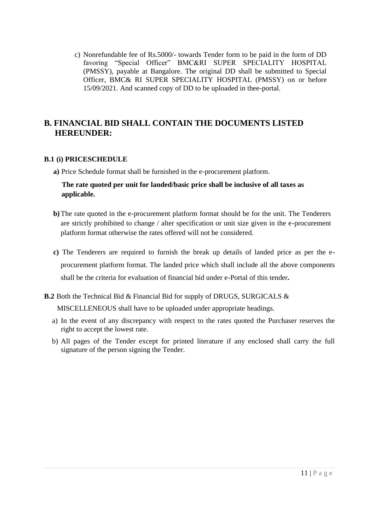c) Nonrefundable fee of Rs.5000/- towards Tender form to be paid in the form of DD favoring "Special Officer" BMC&RI SUPER SPECIALITY HOSPITAL (PMSSY), payable at Bangalore. The original DD shall be submitted to Special Officer, BMC& RI SUPER SPECIALITY HOSPITAL (PMSSY) on or before 15/09/2021. And scanned copy of DD to be uploaded in thee-portal.

## **B. FINANCIAL BID SHALL CONTAIN THE DOCUMENTS LISTED HEREUNDER:**

#### **B.1 (i) PRICESCHEDULE**

**a)** Price Schedule format shall be furnished in the e-procurement platform.

## **The rate quoted per unit for landed/basic price shall be inclusive of all taxes as applicable.**

- **b)**The rate quoted in the e-procurement platform format should be for the unit. The Tenderers are strictly prohibited to change / alter specification or unit size given in the e-procurement platform format otherwise the rates offered will not be considered.
- **c)** The Tenderers are required to furnish the break up details of landed price as per the eprocurement platform format. The landed price which shall include all the above components shall be the criteria for evaluation of financial bid under e-Portal of this tender**.**

#### **B.2** Both the Technical Bid & Financial Bid for supply of DRUGS, SURGICALS &

MISCELLENEOUS shall have to be uploaded under appropriate headings.

- a) In the event of any discrepancy with respect to the rates quoted the Purchaser reserves the right to accept the lowest rate.
- b) All pages of the Tender except for printed literature if any enclosed shall carry the full signature of the person signing the Tender.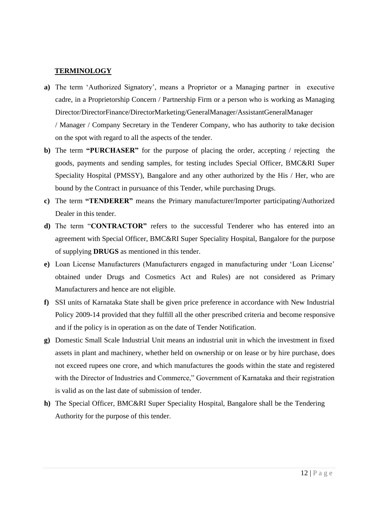#### **TERMINOLOGY**

**a)** The term "Authorized Signatory", means a Proprietor or a Managing partner in executive cadre, in a Proprietorship Concern / Partnership Firm or a person who is working as Managing Director/DirectorFinance/DirectorMarketing/GeneralManager/AssistantGeneralManager / Manager / Company Secretary in the Tenderer Company, who has authority to take decision

on the spot with regard to all the aspects of the tender.

- **b)** The term **"PURCHASER"** for the purpose of placing the order, accepting / rejecting the goods, payments and sending samples, for testing includes Special Officer, BMC&RI Super Speciality Hospital (PMSSY), Bangalore and any other authorized by the His / Her, who are bound by the Contract in pursuance of this Tender, while purchasing Drugs.
- **c)** The term **"TENDERER"** means the Primary manufacturer/Importer participating/Authorized Dealer in this tender.
- **d)** The term "**CONTRACTOR"** refers to the successful Tenderer who has entered into an agreement with Special Officer, BMC&RI Super Speciality Hospital, Bangalore for the purpose of supplying **DRUGS** as mentioned in this tender.
- **e)** Loan License Manufacturers (Manufacturers engaged in manufacturing under "Loan License" obtained under Drugs and Cosmetics Act and Rules) are not considered as Primary Manufacturers and hence are not eligible.
- **f)** SSI units of Karnataka State shall be given price preference in accordance with New Industrial Policy 2009-14 provided that they fulfill all the other prescribed criteria and become responsive and if the policy is in operation as on the date of Tender Notification.
- **g)** Domestic Small Scale Industrial Unit means an industrial unit in which the investment in fixed assets in plant and machinery, whether held on ownership or on lease or by hire purchase, does not exceed rupees one crore, and which manufactures the goods within the state and registered with the Director of Industries and Commerce," Government of Karnataka and their registration is valid as on the last date of submission of tender.
- **h)** The Special Officer, BMC&RI Super Speciality Hospital, Bangalore shall be the Tendering Authority for the purpose of this tender.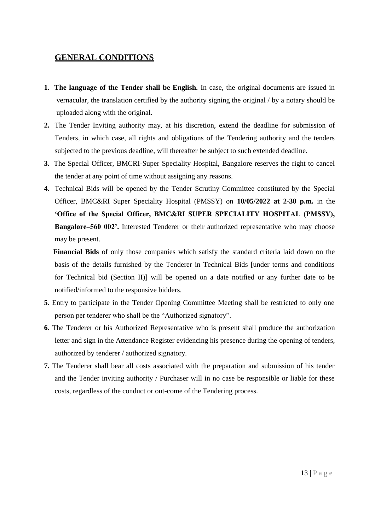## **GENERAL CONDITIONS**

- **1. The language of the Tender shall be English.** In case, the original documents are issued in vernacular, the translation certified by the authority signing the original / by a notary should be uploaded along with the original.
- **2.** The Tender Inviting authority may, at his discretion, extend the deadline for submission of Tenders, in which case, all rights and obligations of the Tendering authority and the tenders subjected to the previous deadline, will thereafter be subject to such extended deadline.
- **3.** The Special Officer, BMCRI-Super Speciality Hospital, Bangalore reserves the right to cancel the tender at any point of time without assigning any reasons.
- **4.** Technical Bids will be opened by the Tender Scrutiny Committee constituted by the Special Officer, BMC&RI Super Speciality Hospital (PMSSY) on **10/05/2022 at 2-30 p.m.** in the **"Office of the Special Officer, BMC&RI SUPER SPECIALITY HOSPITAL (PMSSY), Bangalore–560 002".** Interested Tenderer or their authorized representative who may choose may be present.

**Financial Bids** of only those companies which satisfy the standard criteria laid down on the basis of the details furnished by the Tenderer in Technical Bids [under terms and conditions for Technical bid (Section II)] will be opened on a date notified or any further date to be notified/informed to the responsive bidders.

- **5.** Entry to participate in the Tender Opening Committee Meeting shall be restricted to only one person per tenderer who shall be the "Authorized signatory".
- **6.** The Tenderer or his Authorized Representative who is present shall produce the authorization letter and sign in the Attendance Register evidencing his presence during the opening of tenders, authorized by tenderer / authorized signatory.
- **7.** The Tenderer shall bear all costs associated with the preparation and submission of his tender and the Tender inviting authority / Purchaser will in no case be responsible or liable for these costs, regardless of the conduct or out-come of the Tendering process.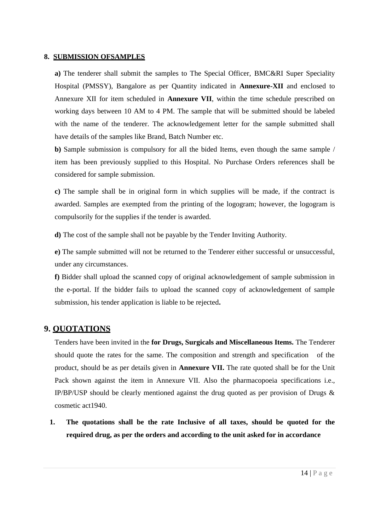#### **8. SUBMISSION OFSAMPLES**

**a)** The tenderer shall submit the samples to The Special Officer, BMC&RI Super Speciality Hospital (PMSSY), Bangalore as per Quantity indicated in **Annexure-XII** and enclosed to Annexure XII for item scheduled in **Annexure VII**, within the time schedule prescribed on working days between 10 AM to 4 PM. The sample that will be submitted should be labeled with the name of the tenderer. The acknowledgement letter for the sample submitted shall have details of the samples like Brand, Batch Number etc.

**b)** Sample submission is compulsory for all the bided Items, even though the same sample / item has been previously supplied to this Hospital. No Purchase Orders references shall be considered for sample submission.

**c)** The sample shall be in original form in which supplies will be made, if the contract is awarded. Samples are exempted from the printing of the logogram; however, the logogram is compulsorily for the supplies if the tender is awarded.

**d)** The cost of the sample shall not be payable by the Tender Inviting Authority.

**e)** The sample submitted will not be returned to the Tenderer either successful or unsuccessful, under any circumstances.

**f)** Bidder shall upload the scanned copy of original acknowledgement of sample submission in the e-portal. If the bidder fails to upload the scanned copy of acknowledgement of sample submission, his tender application is liable to be rejected**.**

## **9. QUOTATIONS**

Tenders have been invited in the **for Drugs, Surgicals and Miscellaneous Items.** The Tenderer should quote the rates for the same. The composition and strength and specification of the product, should be as per details given in **Annexure VII.** The rate quoted shall be for the Unit Pack shown against the item in Annexure VII. Also the pharmacopoeia specifications i.e., IP/BP/USP should be clearly mentioned against the drug quoted as per provision of Drugs & cosmetic act1940.

**1. The quotations shall be the rate Inclusive of all taxes, should be quoted for the required drug, as per the orders and according to the unit asked for in accordance**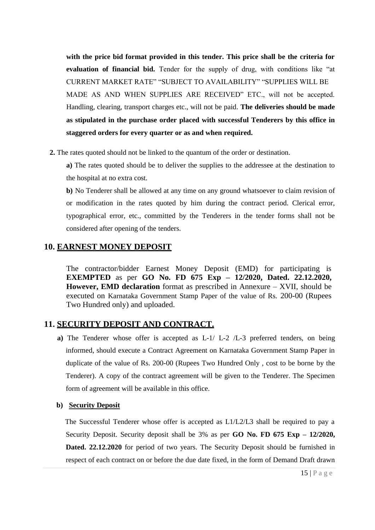**with the price bid format provided in this tender. This price shall be the criteria for evaluation of financial bid.** Tender for the supply of drug, with conditions like "at CURRENT MARKET RATE" "SUBJECT TO AVAILABILITY" "SUPPLIES WILL BE MADE AS AND WHEN SUPPLIES ARE RECEIVED" ETC., will not be accepted. Handling, clearing, transport charges etc., will not be paid. **The deliveries should be made as stipulated in the purchase order placed with successful Tenderers by this office in staggered orders for every quarter or as and when required.**

**2.** The rates quoted should not be linked to the quantum of the order or destination.

**a)** The rates quoted should be to deliver the supplies to the addressee at the destination to the hospital at no extra cost.

**b)** No Tenderer shall be allowed at any time on any ground whatsoever to claim revision of or modification in the rates quoted by him during the contract period. Clerical error, typographical error, etc., committed by the Tenderers in the tender forms shall not be considered after opening of the tenders.

## **10. EARNEST MONEY DEPOSIT**

The contractor/bidder Earnest Money Deposit (EMD) for participating is **EXEMPTED** as per **GO No. FD 675 Exp – 12/2020, Dated. 22.12.2020, However, EMD declaration** format as prescribed in Annexure – XVII, should be executed on Karnataka Government Stamp Paper of the value of Rs. 200-00 (Rupees Two Hundred only) and uploaded.

## **11. SECURITY DEPOSIT AND CONTRACT.**

**a)** The Tenderer whose offer is accepted as L-1/ L-2 /L-3 preferred tenders, on being informed, should execute a Contract Agreement on Karnataka Government Stamp Paper in duplicate of the value of Rs. 200-00 (Rupees Two Hundred Only , cost to be borne by the Tenderer). A copy of the contract agreement will be given to the Tenderer. The Specimen form of agreement will be available in this office.

#### **b) Security Deposit**

The Successful Tenderer whose offer is accepted as L1/L2/L3 shall be required to pay a Security Deposit. Security deposit shall be 3% as per **GO No. FD 675 Exp – 12/2020, Dated. 22.12.2020** for period of two years. The Security Deposit should be furnished in respect of each contract on or before the due date fixed, in the form of Demand Draft drawn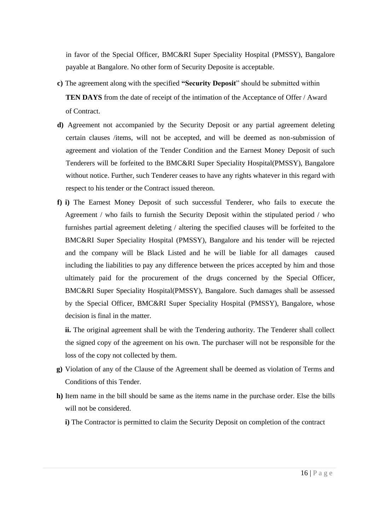in favor of the Special Officer, BMC&RI Super Speciality Hospital (PMSSY), Bangalore payable at Bangalore. No other form of Security Deposite is acceptable.

- **c)** The agreement along with the specified **"Security Deposit**" should be submitted within **TEN DAYS** from the date of receipt of the intimation of the Acceptance of Offer / Award of Contract.
- **d)** Agreement not accompanied by the Security Deposit or any partial agreement deleting certain clauses /items, will not be accepted, and will be deemed as non-submission of agreement and violation of the Tender Condition and the Earnest Money Deposit of such Tenderers will be forfeited to the BMC&RI Super Speciality Hospital(PMSSY), Bangalore without notice. Further, such Tenderer ceases to have any rights whatever in this regard with respect to his tender or the Contract issued thereon.
- **f) i)** The Earnest Money Deposit of such successful Tenderer, who fails to execute the Agreement / who fails to furnish the Security Deposit within the stipulated period / who furnishes partial agreement deleting / altering the specified clauses will be forfeited to the BMC&RI Super Speciality Hospital (PMSSY), Bangalore and his tender will be rejected and the company will be Black Listed and he will be liable for all damages caused including the liabilities to pay any difference between the prices accepted by him and those ultimately paid for the procurement of the drugs concerned by the Special Officer, BMC&RI Super Speciality Hospital(PMSSY), Bangalore. Such damages shall be assessed by the Special Officer, BMC&RI Super Speciality Hospital (PMSSY), Bangalore, whose decision is final in the matter.

**ii.** The original agreement shall be with the Tendering authority. The Tenderer shall collect the signed copy of the agreement on his own. The purchaser will not be responsible for the loss of the copy not collected by them.

- **g)** Violation of any of the Clause of the Agreement shall be deemed as violation of Terms and Conditions of this Tender.
- **h)** Item name in the bill should be same as the items name in the purchase order. Else the bills will not be considered.
	- **i)** The Contractor is permitted to claim the Security Deposit on completion of the contract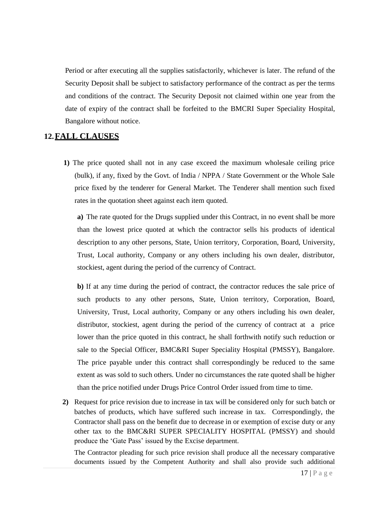Period or after executing all the supplies satisfactorily, whichever is later. The refund of the Security Deposit shall be subject to satisfactory performance of the contract as per the terms and conditions of the contract. The Security Deposit not claimed within one year from the date of expiry of the contract shall be forfeited to the BMCRI Super Speciality Hospital, Bangalore without notice.

#### **12.FALL CLAUSES**

**1)** The price quoted shall not in any case exceed the maximum wholesale ceiling price (bulk), if any, fixed by the Govt. of India / NPPA / State Government or the Whole Sale price fixed by the tenderer for General Market. The Tenderer shall mention such fixed rates in the quotation sheet against each item quoted.

**a)** The rate quoted for the Drugs supplied under this Contract, in no event shall be more than the lowest price quoted at which the contractor sells his products of identical description to any other persons, State, Union territory, Corporation, Board, University, Trust, Local authority, Company or any others including his own dealer, distributor, stockiest, agent during the period of the currency of Contract.

**b)** If at any time during the period of contract, the contractor reduces the sale price of such products to any other persons, State, Union territory, Corporation, Board, University, Trust, Local authority, Company or any others including his own dealer, distributor, stockiest, agent during the period of the currency of contract at a price lower than the price quoted in this contract, he shall forthwith notify such reduction or sale to the Special Officer, BMC&RI Super Speciality Hospital (PMSSY), Bangalore. The price payable under this contract shall correspondingly be reduced to the same extent as was sold to such others. Under no circumstances the rate quoted shall be higher than the price notified under Drugs Price Control Order issued from time to time.

**2)** Request for price revision due to increase in tax will be considered only for such batch or batches of products, which have suffered such increase in tax. Correspondingly, the Contractor shall pass on the benefit due to decrease in or exemption of excise duty or any other tax to the BMC&RI SUPER SPECIALITY HOSPITAL (PMSSY) and should produce the "Gate Pass" issued by the Excise department.

The Contractor pleading for such price revision shall produce all the necessary comparative documents issued by the Competent Authority and shall also provide such additional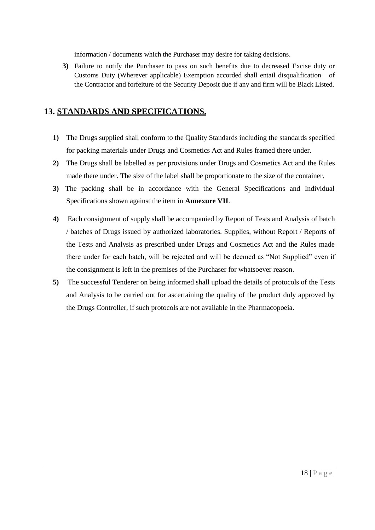information / documents which the Purchaser may desire for taking decisions.

**3)** Failure to notify the Purchaser to pass on such benefits due to decreased Excise duty or Customs Duty (Wherever applicable) Exemption accorded shall entail disqualification of the Contractor and forfeiture of the Security Deposit due if any and firm will be Black Listed.

## **13. STANDARDS AND SPECIFICATIONS.**

- **1)** The Drugs supplied shall conform to the Quality Standards including the standards specified for packing materials under Drugs and Cosmetics Act and Rules framed there under.
- **2)** The Drugs shall be labelled as per provisions under Drugs and Cosmetics Act and the Rules made there under. The size of the label shall be proportionate to the size of the container.
- **3)** The packing shall be in accordance with the General Specifications and Individual Specifications shown against the item in **Annexure VII**.
- **4)** Each consignment of supply shall be accompanied by Report of Tests and Analysis of batch / batches of Drugs issued by authorized laboratories. Supplies, without Report / Reports of the Tests and Analysis as prescribed under Drugs and Cosmetics Act and the Rules made there under for each batch, will be rejected and will be deemed as "Not Supplied" even if the consignment is left in the premises of the Purchaser for whatsoever reason.
- **5)** The successful Tenderer on being informed shall upload the details of protocols of the Tests and Analysis to be carried out for ascertaining the quality of the product duly approved by the Drugs Controller, if such protocols are not available in the Pharmacopoeia.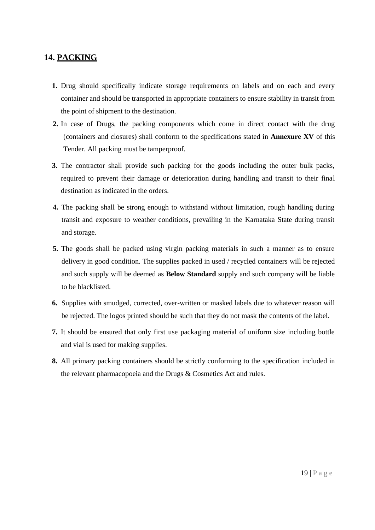## **14. PACKING**

- **1.** Drug should specifically indicate storage requirements on labels and on each and every container and should be transported in appropriate containers to ensure stability in transit from the point of shipment to the destination.
- **2.** In case of Drugs, the packing components which come in direct contact with the drug (containers and closures) shall conform to the specifications stated in **Annexure XV** of this Tender. All packing must be tamperproof.
- **3.** The contractor shall provide such packing for the goods including the outer bulk packs, required to prevent their damage or deterioration during handling and transit to their final destination as indicated in the orders.
- **4.** The packing shall be strong enough to withstand without limitation, rough handling during transit and exposure to weather conditions, prevailing in the Karnataka State during transit and storage.
- **5.** The goods shall be packed using virgin packing materials in such a manner as to ensure delivery in good condition. The supplies packed in used / recycled containers will be rejected and such supply will be deemed as **Below Standard** supply and such company will be liable to be blacklisted.
- **6.** Supplies with smudged, corrected, over-written or masked labels due to whatever reason will be rejected. The logos printed should be such that they do not mask the contents of the label.
- **7.** It should be ensured that only first use packaging material of uniform size including bottle and vial is used for making supplies.
- **8.** All primary packing containers should be strictly conforming to the specification included in the relevant pharmacopoeia and the Drugs & Cosmetics Act and rules.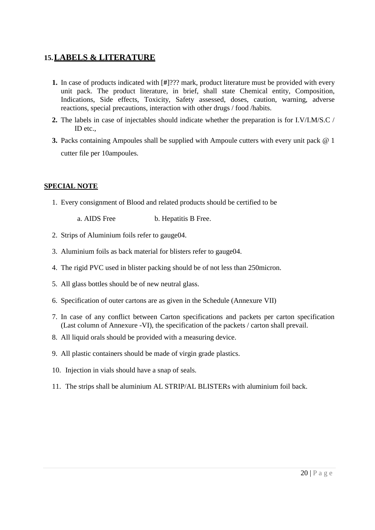## **15.LABELS & LITERATURE**

- **1.** In case of products indicated with [**#**]??? mark, product literature must be provided with every unit pack. The product literature, in brief, shall state Chemical entity, Composition, Indications, Side effects, Toxicity, Safety assessed, doses, caution, warning, adverse reactions, special precautions, interaction with other drugs / food /habits.
- **2.** The labels in case of injectables should indicate whether the preparation is for I.V/I.M/S.C / ID etc.,
- **3.** Packs containing Ampoules shall be supplied with Ampoule cutters with every unit pack @ 1 cutter file per 10ampoules.

#### **SPECIAL NOTE**

- 1. Every consignment of Blood and related products should be certified to be
	- a. AIDS Free b. Hepatitis B Free.
- 2. Strips of Aluminium foils refer to gauge04.
- 3. Aluminium foils as back material for blisters refer to gauge04.
- 4. The rigid PVC used in blister packing should be of not less than 250micron.
- 5. All glass bottles should be of new neutral glass.
- 6. Specification of outer cartons are as given in the Schedule (Annexure VII)
- 7. In case of any conflict between Carton specifications and packets per carton specification (Last column of Annexure -VI), the specification of the packets / carton shall prevail.
- 8. All liquid orals should be provided with a measuring device.
- 9. All plastic containers should be made of virgin grade plastics.
- 10. Injection in vials should have a snap of seals.
- 11. The strips shall be aluminium AL STRIP/AL BLISTERs with aluminium foil back.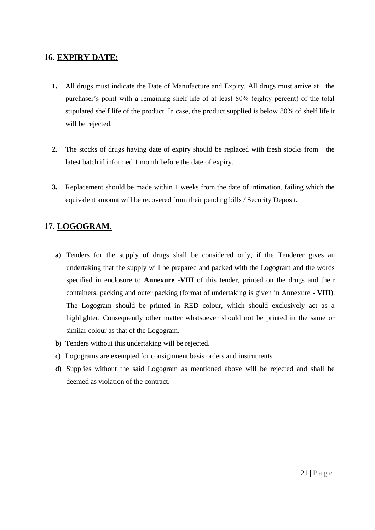## **16. EXPIRY DATE:**

- **1.** All drugs must indicate the Date of Manufacture and Expiry. All drugs must arrive at the purchaser"s point with a remaining shelf life of at least 80% (eighty percent) of the total stipulated shelf life of the product. In case, the product supplied is below 80% of shelf life it will be rejected.
- **2.** The stocks of drugs having date of expiry should be replaced with fresh stocks from the latest batch if informed 1 month before the date of expiry.
- **3.** Replacement should be made within 1 weeks from the date of intimation, failing which the equivalent amount will be recovered from their pending bills / Security Deposit.

# **17. LOGOGRAM.**

- **a)** Tenders for the supply of drugs shall be considered only, if the Tenderer gives an undertaking that the supply will be prepared and packed with the Logogram and the words specified in enclosure to **Annexure -VIII** of this tender, printed on the drugs and their containers, packing and outer packing (format of undertaking is given in Annexure **- VIII**). The Logogram should be printed in RED colour, which should exclusively act as a highlighter. Consequently other matter whatsoever should not be printed in the same or similar colour as that of the Logogram.
- **b)** Tenders without this undertaking will be rejected.
- **c)** Logograms are exempted for consignment basis orders and instruments.
- **d)** Supplies without the said Logogram as mentioned above will be rejected and shall be deemed as violation of the contract.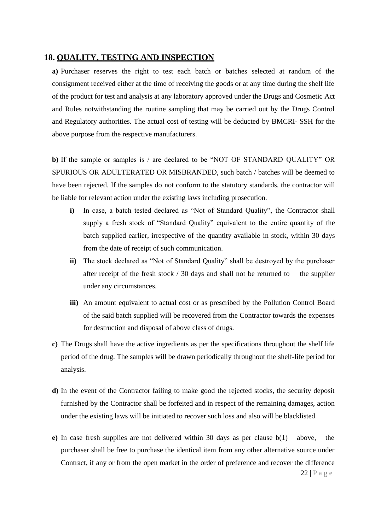#### **18. QUALITY, TESTING AND INSPECTION**

**a)** Purchaser reserves the right to test each batch or batches selected at random of the consignment received either at the time of receiving the goods or at any time during the shelf life of the product for test and analysis at any laboratory approved under the Drugs and Cosmetic Act and Rules notwithstanding the routine sampling that may be carried out by the Drugs Control and Regulatory authorities. The actual cost of testing will be deducted by BMCRI- SSH for the above purpose from the respective manufacturers.

**b)** If the sample or samples is / are declared to be "NOT OF STANDARD QUALITY" OR SPURIOUS OR ADULTERATED OR MISBRANDED, such batch / batches will be deemed to have been rejected. If the samples do not conform to the statutory standards, the contractor will be liable for relevant action under the existing laws including prosecution.

- **i)** In case, a batch tested declared as "Not of Standard Quality", the Contractor shall supply a fresh stock of "Standard Quality" equivalent to the entire quantity of the batch supplied earlier, irrespective of the quantity available in stock, within 30 days from the date of receipt of such communication.
- **ii)** The stock declared as "Not of Standard Quality" shall be destroyed by the purchaser after receipt of the fresh stock  $/$  30 days and shall not be returned to the supplier under any circumstances.
- iii) An amount equivalent to actual cost or as prescribed by the Pollution Control Board of the said batch supplied will be recovered from the Contractor towards the expenses for destruction and disposal of above class of drugs.
- **c)** The Drugs shall have the active ingredients as per the specifications throughout the shelf life period of the drug. The samples will be drawn periodically throughout the shelf-life period for analysis.
- **d)** In the event of the Contractor failing to make good the rejected stocks, the security deposit furnished by the Contractor shall be forfeited and in respect of the remaining damages, action under the existing laws will be initiated to recover such loss and also will be blacklisted.
- **e)** In case fresh supplies are not delivered within 30 days as per clause b(1) above, the purchaser shall be free to purchase the identical item from any other alternative source under Contract, if any or from the open market in the order of preference and recover the difference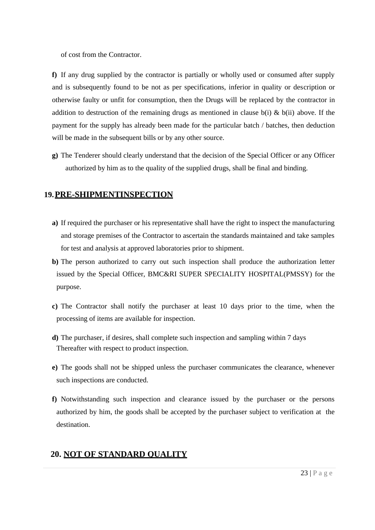of cost from the Contractor.

**f)** If any drug supplied by the contractor is partially or wholly used or consumed after supply and is subsequently found to be not as per specifications, inferior in quality or description or otherwise faulty or unfit for consumption, then the Drugs will be replaced by the contractor in addition to destruction of the remaining drugs as mentioned in clause  $b(i)$  &  $b(ii)$  above. If the payment for the supply has already been made for the particular batch / batches, then deduction will be made in the subsequent bills or by any other source.

**g)** The Tenderer should clearly understand that the decision of the Special Officer or any Officer authorized by him as to the quality of the supplied drugs, shall be final and binding.

# **19.PRE-SHIPMENTINSPECTION**

- **a)** If required the purchaser or his representative shall have the right to inspect the manufacturing and storage premises of the Contractor to ascertain the standards maintained and take samples for test and analysis at approved laboratories prior to shipment.
- **b)** The person authorized to carry out such inspection shall produce the authorization letter issued by the Special Officer, BMC&RI SUPER SPECIALITY HOSPITAL(PMSSY) for the purpose.
- **c)** The Contractor shall notify the purchaser at least 10 days prior to the time, when the processing of items are available for inspection.
- **d)** The purchaser, if desires, shall complete such inspection and sampling within 7 days Thereafter with respect to product inspection.
- **e)** The goods shall not be shipped unless the purchaser communicates the clearance, whenever such inspections are conducted.
- **f)** Notwithstanding such inspection and clearance issued by the purchaser or the persons authorized by him, the goods shall be accepted by the purchaser subject to verification at the destination.

# **20. NOT OF STANDARD QUALITY**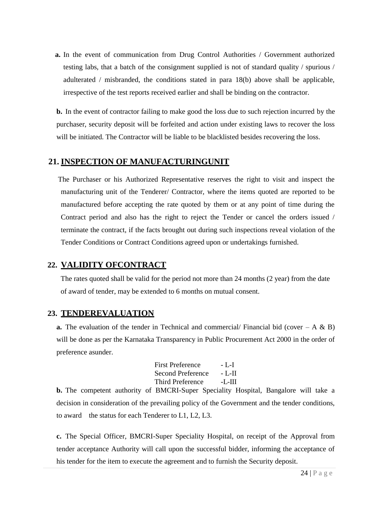**a.** In the event of communication from Drug Control Authorities / Government authorized testing labs, that a batch of the consignment supplied is not of standard quality / spurious / adulterated / misbranded, the conditions stated in para 18(b) above shall be applicable, irrespective of the test reports received earlier and shall be binding on the contractor.

**b.** In the event of contractor failing to make good the loss due to such rejection incurred by the purchaser, security deposit will be forfeited and action under existing laws to recover the loss will be initiated. The Contractor will be liable to be blacklisted besides recovering the loss.

## **21. INSPECTION OF MANUFACTURINGUNIT**

The Purchaser or his Authorized Representative reserves the right to visit and inspect the manufacturing unit of the Tenderer/ Contractor, where the items quoted are reported to be manufactured before accepting the rate quoted by them or at any point of time during the Contract period and also has the right to reject the Tender or cancel the orders issued / terminate the contract, if the facts brought out during such inspections reveal violation of the Tender Conditions or Contract Conditions agreed upon or undertakings furnished.

## **22. VALIDITY OFCONTRACT**

The rates quoted shall be valid for the period not more than 24 months (2 year) from the date of award of tender, may be extended to 6 months on mutual consent.

## **23. TENDEREVALUATION**

**a.** The evaluation of the tender in Technical and commercial/ Financial bid (cover  $- A \& B$ ) will be done as per the Karnataka Transparency in Public Procurement Act 2000 in the order of preference asunder.

| <b>First Preference</b> | - L-I  |
|-------------------------|--------|
| Second Preference       | - L-II |
| <b>Third Preference</b> | -L-III |

**b.** The competent authority of BMCRI-Super Speciality Hospital, Bangalore will take a decision in consideration of the prevailing policy of the Government and the tender conditions, to award the status for each Tenderer to L1, L2, L3.

**c.** The Special Officer, BMCRI-Super Speciality Hospital, on receipt of the Approval from tender acceptance Authority will call upon the successful bidder, informing the acceptance of his tender for the item to execute the agreement and to furnish the Security deposit.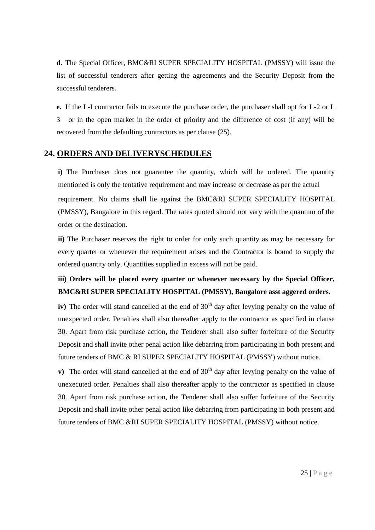**d.** The Special Officer, BMC&RI SUPER SPECIALITY HOSPITAL (PMSSY) will issue the list of successful tenderers after getting the agreements and the Security Deposit from the successful tenderers.

**e.** If the L-I contractor fails to execute the purchase order, the purchaser shall opt for L-2 or L 3 or in the open market in the order of priority and the difference of cost (if any) will be recovered from the defaulting contractors as per clause (25).

#### **24. ORDERS AND DELIVERYSCHEDULES**

**i**) The Purchaser does not guarantee the quantity, which will be ordered. The quantity mentioned is only the tentative requirement and may increase or decrease as per the actual requirement. No claims shall lie against the BMC&RI SUPER SPECIALITY HOSPITAL (PMSSY), Bangalore in this regard. The rates quoted should not vary with the quantum of the order or the destination.

**ii)** The Purchaser reserves the right to order for only such quantity as may be necessary for every quarter or whenever the requirement arises and the Contractor is bound to supply the ordered quantity only. Quantities supplied in excess will not be paid.

## **iii) Orders will be placed every quarter or whenever necessary by the Special Officer, BMC&RI SUPER SPECIALITY HOSPITAL (PMSSY), Bangalore asst aggered orders.**

**iv**) The order will stand cancelled at the end of  $30<sup>th</sup>$  day after levying penalty on the value of unexpected order. Penalties shall also thereafter apply to the contractor as specified in clause 30. Apart from risk purchase action, the Tenderer shall also suffer forfeiture of the Security Deposit and shall invite other penal action like debarring from participating in both present and future tenders of BMC & RI SUPER SPECIALITY HOSPITAL (PMSSY) without notice.

**v**) The order will stand cancelled at the end of  $30<sup>th</sup>$  day after levying penalty on the value of unexecuted order. Penalties shall also thereafter apply to the contractor as specified in clause 30. Apart from risk purchase action, the Tenderer shall also suffer forfeiture of the Security Deposit and shall invite other penal action like debarring from participating in both present and future tenders of BMC &RI SUPER SPECIALITY HOSPITAL (PMSSY) without notice.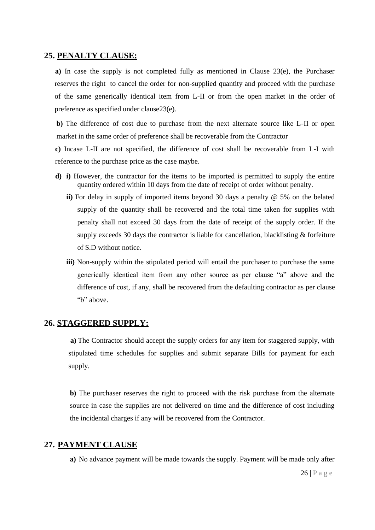#### **25. PENALTY CLAUSE:**

**a)** In case the supply is not completed fully as mentioned in Clause 23(e), the Purchaser reserves the right to cancel the order for non-supplied quantity and proceed with the purchase of the same generically identical item from L-II or from the open market in the order of preference as specified under clause23(e).

**b)** The difference of cost due to purchase from the next alternate source like L-II or open market in the same order of preference shall be recoverable from the Contractor

**c)** Incase L-II are not specified, the difference of cost shall be recoverable from L-I with reference to the purchase price as the case maybe.

- **d) i)** However, the contractor for the items to be imported is permitted to supply the entire quantity ordered within 10 days from the date of receipt of order without penalty.
	- **ii)** For delay in supply of imported items beyond 30 days a penalty @ 5% on the belated supply of the quantity shall be recovered and the total time taken for supplies with penalty shall not exceed 30 days from the date of receipt of the supply order. If the supply exceeds 30 days the contractor is liable for cancellation, blacklisting & forfeiture of S.D without notice.
	- iii) Non-supply within the stipulated period will entail the purchaser to purchase the same generically identical item from any other source as per clause "a" above and the difference of cost, if any, shall be recovered from the defaulting contractor as per clause "b" above.

#### **26. STAGGERED SUPPLY:**

**a)** The Contractor should accept the supply orders for any item for staggered supply, with stipulated time schedules for supplies and submit separate Bills for payment for each supply.

**b)** The purchaser reserves the right to proceed with the risk purchase from the alternate source in case the supplies are not delivered on time and the difference of cost including the incidental charges if any will be recovered from the Contractor.

#### **27. PAYMENT CLAUSE**

**a)** No advance payment will be made towards the supply. Payment will be made only after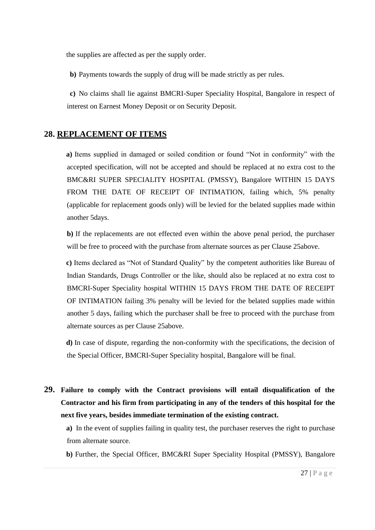the supplies are affected as per the supply order.

**b)** Payments towards the supply of drug will be made strictly as per rules.

**c)** No claims shall lie against BMCRI-Super Speciality Hospital, Bangalore in respect of interest on Earnest Money Deposit or on Security Deposit.

#### **28. REPLACEMENT OF ITEMS**

**a)** Items supplied in damaged or soiled condition or found "Not in conformity" with the accepted specification, will not be accepted and should be replaced at no extra cost to the BMC&RI SUPER SPECIALITY HOSPITAL (PMSSY), Bangalore WITHIN 15 DAYS FROM THE DATE OF RECEIPT OF INTIMATION, failing which, 5% penalty (applicable for replacement goods only) will be levied for the belated supplies made within another 5days.

**b)** If the replacements are not effected even within the above penal period, the purchaser will be free to proceed with the purchase from alternate sources as per Clause 25above.

**c)** Items declared as "Not of Standard Quality" by the competent authorities like Bureau of Indian Standards, Drugs Controller or the like, should also be replaced at no extra cost to BMCRI-Super Speciality hospital WITHIN 15 DAYS FROM THE DATE OF RECEIPT OF INTIMATION failing 3% penalty will be levied for the belated supplies made within another 5 days, failing which the purchaser shall be free to proceed with the purchase from alternate sources as per Clause 25above.

**d)** In case of dispute, regarding the non-conformity with the specifications, the decision of the Special Officer, BMCRI-Super Speciality hospital, Bangalore will be final.

**29. Failure to comply with the Contract provisions will entail disqualification of the Contractor and his firm from participating in any of the tenders of this hospital for the next five years, besides immediate termination of the existing contract.**

**a)** In the event of supplies failing in quality test, the purchaser reserves the right to purchase from alternate source.

**b)** Further, the Special Officer, BMC&RI Super Speciality Hospital (PMSSY), Bangalore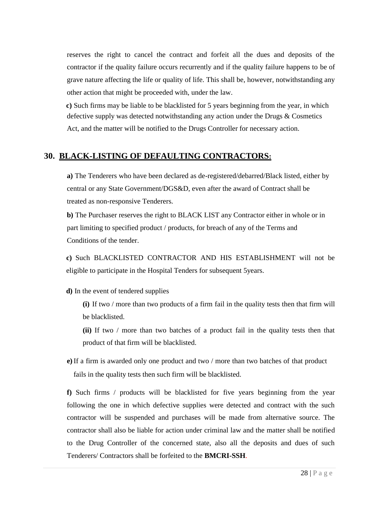reserves the right to cancel the contract and forfeit all the dues and deposits of the contractor if the quality failure occurs recurrently and if the quality failure happens to be of grave nature affecting the life or quality of life. This shall be, however, notwithstanding any other action that might be proceeded with, under the law.

**c)** Such firms may be liable to be blacklisted for 5 years beginning from the year, in which defective supply was detected notwithstanding any action under the Drugs & Cosmetics Act, and the matter will be notified to the Drugs Controller for necessary action.

## **30. BLACK-LISTING OF DEFAULTING CONTRACTORS:**

**a)** The Tenderers who have been declared as de-registered/debarred/Black listed, either by central or any State Government/DGS&D, even after the award of Contract shall be treated as non-responsive Tenderers.

**b)** The Purchaser reserves the right to BLACK LIST any Contractor either in whole or in part limiting to specified product / products, for breach of any of the Terms and Conditions of the tender.

**c)** Such BLACKLISTED CONTRACTOR AND HIS ESTABLISHMENT will not be eligible to participate in the Hospital Tenders for subsequent 5years.

**d)** In the event of tendered supplies

- **(i)** If two / more than two products of a firm fail in the quality tests then that firm will be blacklisted.
- **(ii)** If two / more than two batches of a product fail in the quality tests then that product of that firm will be blacklisted.
- **e)**If a firm is awarded only one product and two / more than two batches of that product fails in the quality tests then such firm will be blacklisted.

**f)** Such firms / products will be blacklisted for five years beginning from the year following the one in which defective supplies were detected and contract with the such contractor will be suspended and purchases will be made from alternative source. The contractor shall also be liable for action under criminal law and the matter shall be notified to the Drug Controller of the concerned state, also all the deposits and dues of such Tenderers/ Contractors shall be forfeited to the **BMCRI-SSH**.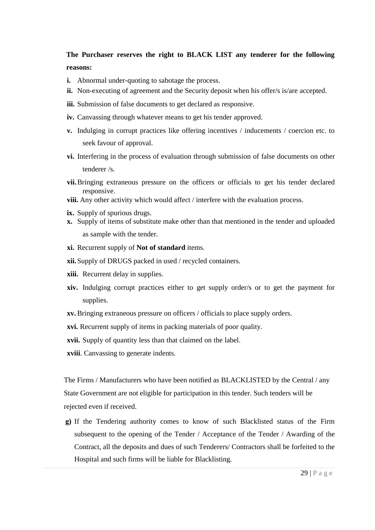## **The Purchaser reserves the right to BLACK LIST any tenderer for the following reasons:**

- **i.** Abnormal under-quoting to sabotage the process.
- ii. Non-executing of agreement and the Security deposit when his offer/s is/are accepted.
- **iii.** Submission of false documents to get declared as responsive.
- **iv.** Canvassing through whatever means to get his tender approved.
- **v.** Indulging in corrupt practices like offering incentives / inducements / coercion etc. to seek favour of approval.
- **vi.** Interfering in the process of evaluation through submission of false documents on other tenderer /s.
- **vii.**Bringing extraneous pressure on the officers or officials to get his tender declared responsive.
- **viii.** Any other activity which would affect / interfere with the evaluation process.
- **ix.** Supply of spurious drugs.
- **x.** Supply of items of substitute make other than that mentioned in the tender and uploaded as sample with the tender.
- **xi.** Recurrent supply of **Not of standard** items.
- **xii.**Supply of DRUGS packed in used / recycled containers.
- **xiii.** Recurrent delay in supplies.
- **xiv.** Indulging corrupt practices either to get supply order/s or to get the payment for supplies.
- **xv.** Bringing extraneous pressure on officers / officials to place supply orders.
- **xvi.** Recurrent supply of items in packing materials of poor quality.
- **xvii.** Supply of quantity less than that claimed on the label.
- **xviii**. Canvassing to generate indents.

The Firms / Manufacturers who have been notified as BLACKLISTED by the Central / any State Government are not eligible for participation in this tender. Such tenders will be rejected even if received.

**g)** If the Tendering authority comes to know of such Blacklisted status of the Firm subsequent to the opening of the Tender / Acceptance of the Tender / Awarding of the Contract, all the deposits and dues of such Tenderers/ Contractors shall be forfeited to the Hospital and such firms will be liable for Blacklisting.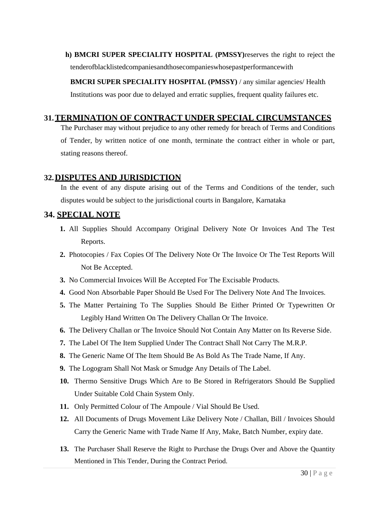**h) BMCRI SUPER SPECIALITY HOSPITAL (PMSSY)**reserves the right to reject the tenderofblacklistedcompaniesandthosecompanieswhosepastperformancewith

**BMCRI SUPER SPECIALITY HOSPITAL (PMSSY)** / any similar agencies/ Health Institutions was poor due to delayed and erratic supplies, frequent quality failures etc.

## **31.TERMINATION OF CONTRACT UNDER SPECIAL CIRCUMSTANCES**

The Purchaser may without prejudice to any other remedy for breach of Terms and Conditions of Tender, by written notice of one month, terminate the contract either in whole or part, stating reasons thereof.

## **32.DISPUTES AND JURISDICTION**

In the event of any dispute arising out of the Terms and Conditions of the tender, such disputes would be subject to the jurisdictional courts in Bangalore, Karnataka

## **34. SPECIAL NOTE**

- **1.** All Supplies Should Accompany Original Delivery Note Or Invoices And The Test Reports.
- **2.** Photocopies / Fax Copies Of The Delivery Note Or The Invoice Or The Test Reports Will Not Be Accepted.
- **3.** No Commercial Invoices Will Be Accepted For The Excisable Products.
- **4.** Good Non Absorbable Paper Should Be Used For The Delivery Note And The Invoices.
- **5.** The Matter Pertaining To The Supplies Should Be Either Printed Or Typewritten Or Legibly Hand Written On The Delivery Challan Or The Invoice.
- **6.** The Delivery Challan or The Invoice Should Not Contain Any Matter on Its Reverse Side.
- **7.** The Label Of The Item Supplied Under The Contract Shall Not Carry The M.R.P.
- **8.** The Generic Name Of The Item Should Be As Bold As The Trade Name, If Any.
- **9.** The Logogram Shall Not Mask or Smudge Any Details of The Label.
- **10.** Thermo Sensitive Drugs Which Are to Be Stored in Refrigerators Should Be Supplied Under Suitable Cold Chain System Only.
- **11.** Only Permitted Colour of The Ampoule / Vial Should Be Used.
- **12.** All Documents of Drugs Movement Like Delivery Note / Challan, Bill / Invoices Should Carry the Generic Name with Trade Name If Any, Make, Batch Number, expiry date.
- **13.** The Purchaser Shall Reserve the Right to Purchase the Drugs Over and Above the Quantity Mentioned in This Tender, During the Contract Period.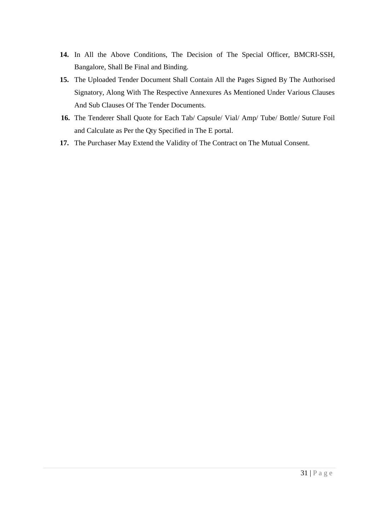- **14.** In All the Above Conditions, The Decision of The Special Officer, BMCRI-SSH, Bangalore, Shall Be Final and Binding.
- **15.** The Uploaded Tender Document Shall Contain All the Pages Signed By The Authorised Signatory, Along With The Respective Annexures As Mentioned Under Various Clauses And Sub Clauses Of The Tender Documents.
- **16.** The Tenderer Shall Quote for Each Tab/ Capsule/ Vial/ Amp/ Tube/ Bottle/ Suture Foil and Calculate as Per the Qty Specified in The E portal.
- **17.** The Purchaser May Extend the Validity of The Contract on The Mutual Consent.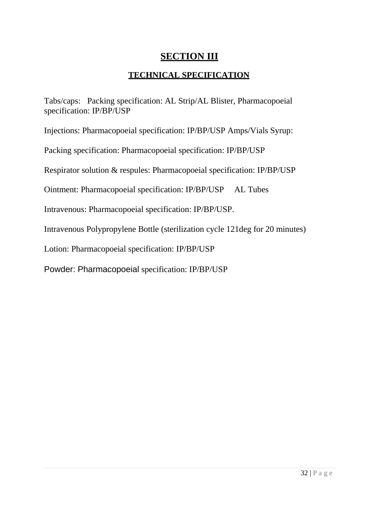# **SECTION III**

# **TECHNICAL SPECIFICATION**

Tabs/caps: Packing specification: AL Strip/AL Blister, Pharmacopoeial specification: IP/BP/USP

Injections: Pharmacopoeial specification: IP/BP/USP Amps/Vials Syrup:

Packing specification: Pharmacopoeial specification: IP/BP/USP

Respirator solution & respules: Pharmacopoeial specification: IP/BP/USP

Ointment: Pharmacopoeial specification: IP/BP/USP AL Tubes

Intravenous: Pharmacopoeial specification: IP/BP/USP.

Intravenous Polypropylene Bottle (sterilization cycle 121deg for 20 minutes)

Lotion: Pharmacopoeial specification: IP/BP/USP

Powder: Pharmacopoeial specification: IP/BP/USP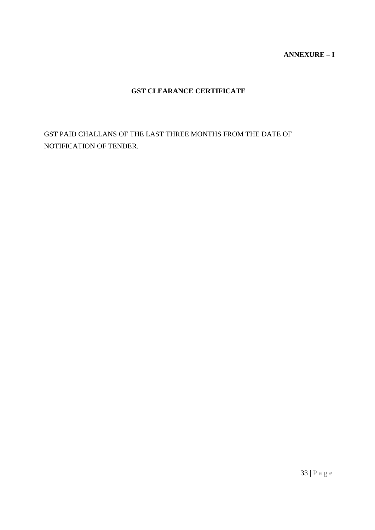## **ANNEXURE – I**

## **GST CLEARANCE CERTIFICATE**

GST PAID CHALLANS OF THE LAST THREE MONTHS FROM THE DATE OF NOTIFICATION OF TENDER.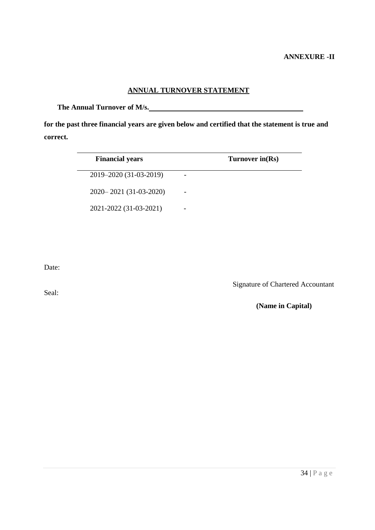## **ANNUAL TURNOVER STATEMENT**

**The Annual Turnover of M/s.**

**for the past three financial years are given below and certified that the statement is true and correct.**

| <b>Financial years</b>   | Turnover in(Rs) |
|--------------------------|-----------------|
| 2019–2020 (31-03-2019)   |                 |
| 2020 - 2021 (31-03-2020) |                 |
| 2021-2022 (31-03-2021)   |                 |

Date:

Seal:

Signature of Chartered Accountant

**(Name in Capital)**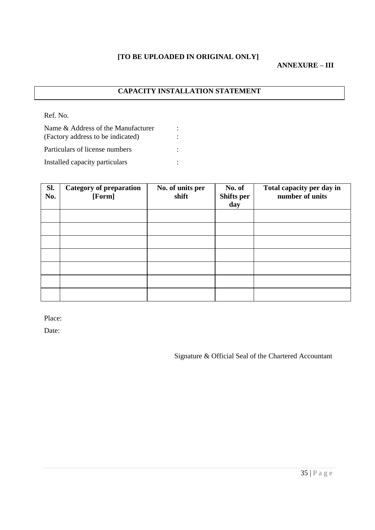## **[TO BE UPLOADED IN ORIGINAL ONLY]**

#### **ANNEXURE – III**

## **CAPACITY INSTALLATION STATEMENT**

Ref. No.

| Name & Address of the Manufacturer |  |
|------------------------------------|--|
| (Factory address to be indicated)  |  |
| Particulars of license numbers     |  |
| Installed capacity particulars     |  |

| Sl.<br>No. | <b>Category of preparation</b><br>[Form] | No. of units per<br>shift | No. of<br>Shifts per<br>day | Total capacity per day in<br>number of units |
|------------|------------------------------------------|---------------------------|-----------------------------|----------------------------------------------|
|            |                                          |                           |                             |                                              |
|            |                                          |                           |                             |                                              |
|            |                                          |                           |                             |                                              |
|            |                                          |                           |                             |                                              |
|            |                                          |                           |                             |                                              |
|            |                                          |                           |                             |                                              |
|            |                                          |                           |                             |                                              |

Place:

Date:

Signature & Official Seal of the Chartered Accountant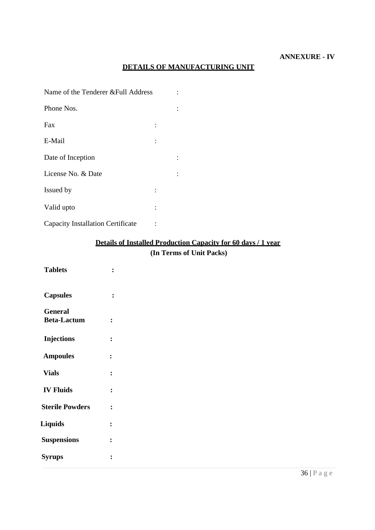## **DETAILS OF MANUFACTURING UNIT**

| Name of the Tenderer & Full Address |  |
|-------------------------------------|--|
| Phone Nos.                          |  |
| Fax                                 |  |
| E-Mail                              |  |
| Date of Inception                   |  |
| License No. & Date                  |  |
| Issued by                           |  |
| Valid upto                          |  |

Capacity Installation Certificate :

## **Details of Installed Production Capacity for 60 days / 1 year (In Terms of Unit Packs)**

| <b>Tablets</b>                       |                |
|--------------------------------------|----------------|
| <b>Capsules</b>                      | $\ddot{\cdot}$ |
| <b>General</b><br><b>Beta-Lactum</b> | $\ddot{\cdot}$ |
| <b>Injections</b>                    | $\ddot{\cdot}$ |
| <b>Ampoules</b>                      | $\ddot{\cdot}$ |
| <b>Vials</b>                         | $\ddot{\cdot}$ |
| <b>IV Fluids</b>                     | $\ddot{\cdot}$ |
| <b>Sterile Powders</b>               | $\ddot{\cdot}$ |
| <b>Liquids</b>                       | $\ddot{\cdot}$ |
| <b>Suspensions</b>                   | $\ddot{\cdot}$ |
| <b>Syrups</b>                        | $\ddot{\cdot}$ |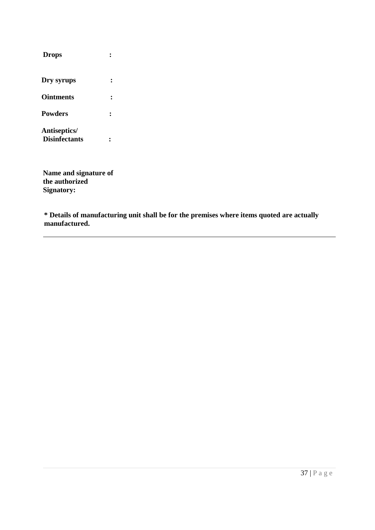| <b>Drops</b>                         |  |
|--------------------------------------|--|
| Dry syrups                           |  |
| <b>Ointments</b>                     |  |
| <b>Powders</b>                       |  |
| Antiseptics/<br><b>Disinfectants</b> |  |

**Name and signature of the authorized Signatory:** 

**\* Details of manufacturing unit shall be for the premises where items quoted are actually manufactured.**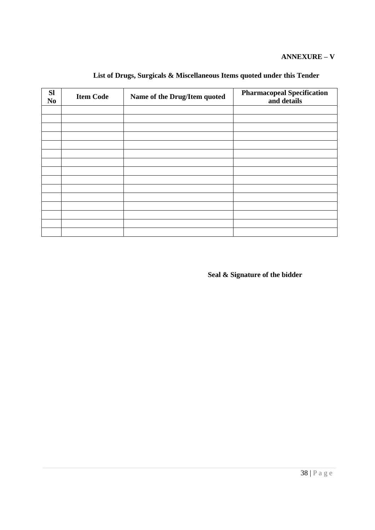## **ANNEXURE – V**

| <b>Sl</b><br>No | <b>Item Code</b> | Name of the Drug/Item quoted | <b>Pharmacopeal Specification</b><br>and details |
|-----------------|------------------|------------------------------|--------------------------------------------------|
|                 |                  |                              |                                                  |
|                 |                  |                              |                                                  |
|                 |                  |                              |                                                  |
|                 |                  |                              |                                                  |
|                 |                  |                              |                                                  |
|                 |                  |                              |                                                  |
|                 |                  |                              |                                                  |
|                 |                  |                              |                                                  |
|                 |                  |                              |                                                  |
|                 |                  |                              |                                                  |
|                 |                  |                              |                                                  |
|                 |                  |                              |                                                  |
|                 |                  |                              |                                                  |
|                 |                  |                              |                                                  |
|                 |                  |                              |                                                  |

# **List of Drugs, Surgicals & Miscellaneous Items quoted under this Tender**

**Seal & Signature of the bidder**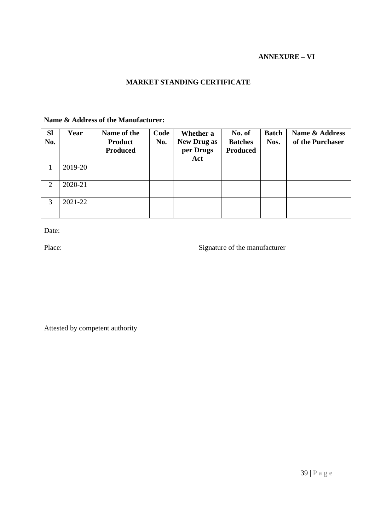#### **ANNEXURE – VI**

## **MARKET STANDING CERTIFICATE**

## **Name & Address of the Manufacturer:**

| <b>SI</b><br>No. | Year    | Name of the<br><b>Product</b><br><b>Produced</b> | Code<br>No. | Whether a<br><b>New Drug as</b><br>per Drugs<br>Act | No. of<br><b>Batches</b><br><b>Produced</b> | <b>Batch</b><br>Nos. | Name & Address<br>of the Purchaser |
|------------------|---------|--------------------------------------------------|-------------|-----------------------------------------------------|---------------------------------------------|----------------------|------------------------------------|
|                  | 2019-20 |                                                  |             |                                                     |                                             |                      |                                    |
| 2                | 2020-21 |                                                  |             |                                                     |                                             |                      |                                    |
| 3                | 2021-22 |                                                  |             |                                                     |                                             |                      |                                    |

Date:

Place: Signature of the manufacturer

Attested by competent authority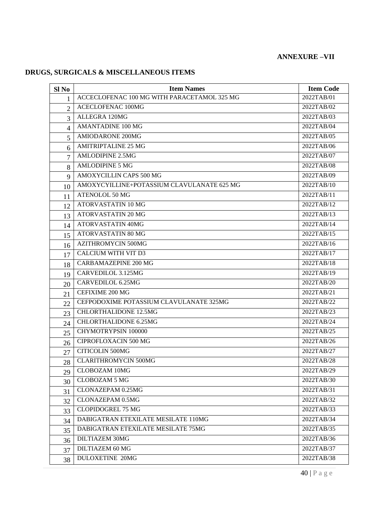# **ANNEXURE –VII**

# **DRUGS, SURGICALS & MISCELLANEOUS ITEMS**

| Sl <sub>No</sub> | <b>Item Names</b>                           | <b>Item Code</b> |
|------------------|---------------------------------------------|------------------|
| $\mathbf{1}$     | ACCECLOFENAC 100 MG WITH PARACETAMOL 325 MG | 2022TAB/01       |
| $\overline{2}$   | <b>ACECLOFENAC 100MG</b>                    | 2022TAB/02       |
| 3                | ALLEGRA 120MG                               | 2022TAB/03       |
| $\overline{4}$   | <b>AMANTADINE 100 MG</b>                    | 2022TAB/04       |
| 5                | <b>AMIODARONE 200MG</b>                     | 2022TAB/05       |
| 6                | <b>AMITRIPTALINE 25 MG</b>                  | 2022TAB/06       |
| $\overline{7}$   | <b>AMLODIPINE 2.5MG</b>                     | 2022TAB/07       |
| 8                | <b>AMLODIPINE 5 MG</b>                      | 2022TAB/08       |
| 9                | AMOXYCILLIN CAPS 500 MG                     | 2022TAB/09       |
| 10               | AMOXYCYILLINE+POTASSIUM CLAVULANATE 625 MG  | 2022TAB/10       |
| 11               | ATENOLOL 50 MG                              | 2022TAB/11       |
| 12               | ATORVASTATIN 10 MG                          | 2022TAB/12       |
| 13               | ATORVASTATIN 20 MG                          | 2022TAB/13       |
| 14               | <b>ATORVASTATIN 40MG</b>                    | 2022TAB/14       |
| 15               | ATORVASTATIN 80 MG                          | 2022TAB/15       |
| 16               | <b>AZITHROMYCIN 500MG</b>                   | 2022TAB/16       |
| 17               | <b>CALCIUM WITH VIT D3</b>                  | 2022TAB/17       |
| 18               | <b>CARBAMAZEPINE 200 MG</b>                 | 2022TAB/18       |
| 19               | CARVEDILOL 3.125MG                          | 2022TAB/19       |
| 20               | CARVEDILOL 6.25MG                           | 2022TAB/20       |
| 21               | <b>CEFIXIME 200 MG</b>                      | 2022TAB/21       |
| 22               | CEFPODOXIME POTASSIUM CLAVULANATE 325MG     | 2022TAB/22       |
| 23               | <b>CHLORTHALIDONE 12.5MG</b>                | 2022TAB/23       |
| 24               | <b>CHLORTHALIDONE 6.25MG</b>                | 2022TAB/24       |
| 25               | CHYMOTRYPSIN 100000                         | 2022TAB/25       |
| 26               | CIPROFLOXACIN 500 MG                        | 2022TAB/26       |
| 27               | <b>CITICOLIN 500MG</b>                      | 2022TAB/27       |
| 28               | <b>CLARITHROMYCIN 500MG</b>                 | 2022TAB/28       |
| 29               | CLOBOZAM 10MG                               | 2022TAB/29       |
| 30               | <b>CLOBOZAM 5 MG</b>                        | 2022TAB/30       |
| 31               | CLONAZEPAM 0.25MG                           | 2022TAB/31       |
| 32               | <b>CLONAZEPAM 0.5MG</b>                     | 2022TAB/32       |
| 33               | CLOPIDOGREL 75 MG                           | 2022TAB/33       |
| 34               | DABIGATRAN ETEXILATE MESILATE 110MG         | 2022TAB/34       |
| 35               | DABIGATRAN ETEXILATE MESILATE 75MG          | 2022TAB/35       |
| 36               | <b>DILTIAZEM 30MG</b>                       | 2022TAB/36       |
| 37               | DILTIAZEM 60 MG                             | 2022TAB/37       |
| 38               | <b>DULOXETINE 20MG</b>                      | 2022TAB/38       |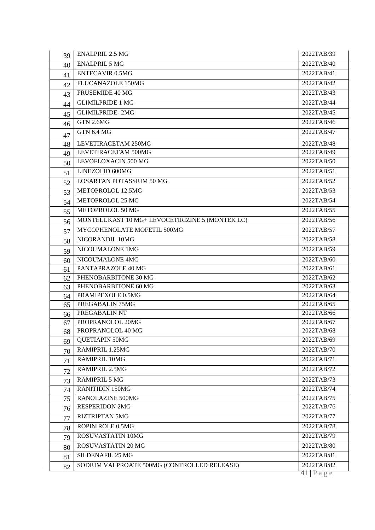| 39 | <b>ENALPRIL 2.5 MG</b>                          | 2022TAB/39 |
|----|-------------------------------------------------|------------|
| 40 | <b>ENALPRIL 5 MG</b>                            | 2022TAB/40 |
| 41 | <b>ENTECAVIR 0.5MG</b>                          | 2022TAB/41 |
| 42 | FLUCANAZOLE 150MG                               | 2022TAB/42 |
| 43 | FRUSEMIDE 40 MG                                 | 2022TAB/43 |
| 44 | <b>GLIMILPRIDE 1 MG</b>                         | 2022TAB/44 |
| 45 | <b>GLIMILPRIDE-2MG</b>                          | 2022TAB/45 |
| 46 | GTN 2.6MG                                       | 2022TAB/46 |
| 47 | <b>GTN 6.4 MG</b>                               | 2022TAB/47 |
| 48 | LEVETIRACETAM 250MG                             | 2022TAB/48 |
| 49 | LEVETIRACETAM 500MG                             | 2022TAB/49 |
| 50 | LEVOFLOXACIN 500 MG                             | 2022TAB/50 |
| 51 | LINEZOLID 600MG                                 | 2022TAB/51 |
| 52 | <b>LOSARTAN POTASSIUM 50 MG</b>                 | 2022TAB/52 |
| 53 | METOPROLOL 12.5MG                               | 2022TAB/53 |
| 54 | METOPROLOL 25 MG                                | 2022TAB/54 |
| 55 | METOPROLOL 50 MG                                | 2022TAB/55 |
| 56 | MONTELUKAST 10 MG+ LEVOCETIRIZINE 5 (MONTEK LC) | 2022TAB/56 |
| 57 | MYCOPHENOLATE MOFETIL 500MG                     | 2022TAB/57 |
| 58 | NICORANDIL 10MG                                 | 2022TAB/58 |
| 59 | NICOUMALONE 1MG                                 | 2022TAB/59 |
| 60 | NICOUMALONE 4MG                                 | 2022TAB/60 |
| 61 | PANTAPRAZOLE 40 MG                              | 2022TAB/61 |
| 62 | PHENOBARBITONE 30 MG                            | 2022TAB/62 |
| 63 | PHENOBARBITONE 60 MG                            | 2022TAB/63 |
| 64 | PRAMIPEXOLE 0.5MG                               | 2022TAB/64 |
| 65 | PREGABALIN 75MG                                 | 2022TAB/65 |
| 66 | PREGABALIN NT                                   | 2022TAB/66 |
| 67 | PROPRANOLOL 20MG                                | 2022TAB/67 |
| 68 | PROPRANOLOL 40 MG                               | 2022TAB/68 |
| 69 | <b>QUETIAPIN 50MG</b>                           | 2022TAB/69 |
| 70 | RAMIPRIL 1.25MG                                 | 2022TAB/70 |
| 71 | <b>RAMIPRIL 10MG</b>                            | 2022TAB/71 |
| 72 | RAMIPRIL 2.5MG                                  | 2022TAB/72 |
| 73 | <b>RAMIPRIL 5 MG</b>                            | 2022TAB/73 |
| 74 | <b>RANITIDIN 150MG</b>                          | 2022TAB/74 |
| 75 | <b>RANOLAZINE 500MG</b>                         | 2022TAB/75 |
| 76 | <b>RESPERIDON 2MG</b>                           | 2022TAB/76 |
| 77 | <b>RIZTRIPTAN 5MG</b>                           | 2022TAB/77 |
| 78 | ROPINIROLE 0.5MG                                | 2022TAB/78 |
| 79 | ROSUVASTATIN 10MG                               | 2022TAB/79 |
| 80 | ROSUVASTATIN 20 MG                              | 2022TAB/80 |
| 81 | SILDENAFIL 25 MG                                | 2022TAB/81 |
| 82 | SODIUM VALPROATE 500MG (CONTROLLED RELEASE)     | 2022TAB/82 |
|    |                                                 | 41   Page  |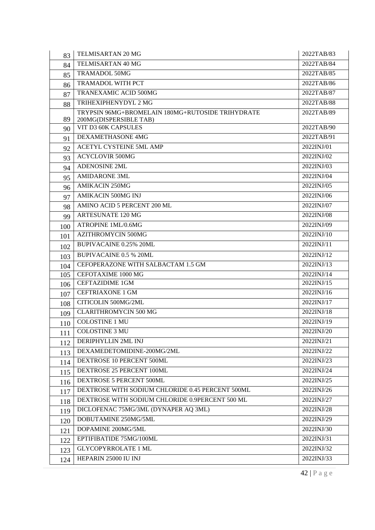| TELMISARTAN 40 MG<br>2022TAB/84<br>84<br><b>TRAMADOL 50MG</b><br>2022TAB/85<br>85<br>TRAMADOL WITH PCT<br>2022TAB/86<br>86<br><b>TRANEXAMIC ACID 500MG</b><br>2022TAB/87<br>87<br>TRIHEXIPHENYDYL 2 MG<br>2022TAB/88<br>88<br>TRYPSIN 96MG+BROMELAIN 180MG+RUTOSIDE TRIHYDRATE<br>2022TAB/89<br>89<br>200MG(DISPERSIBLE TAB)<br>VIT D3 60K CAPSULES<br>2022TAB/90<br>90<br><b>DEXAMETHASONE 4MG</b><br>2022TAB/91<br>91<br>ACETYL CYSTEINE 5ML AMP<br>2022INJ/01<br>92<br><b>ACYCLOVIR 500MG</b><br>2022INJ/02<br>93<br><b>ADENOSINE 2ML</b><br>2022INJ/03<br>94<br><b>AMIDARONE 3ML</b><br>2022INJ/04<br>95<br><b>AMIKACIN 250MG</b><br>2022INJ/05<br>96<br><b>AMIKACIN 500MG INJ</b><br>2022INJ/06<br>97<br>AMINO ACID 5 PERCENT 200 ML<br>2022INJ/07<br>98<br><b>ARTESUNATE 120 MG</b><br>2022INJ/08<br>99<br>ATROPINE 1ML/0.6MG<br>2022INJ/09<br>100<br><b>AZITHROMYCIN 500MG</b><br>2022INJ/10<br>101<br><b>BUPIVACAINE 0.25% 20ML</b><br>2022INJ/11<br>102<br>2022INJ/12<br><b>BUPIVACAINE 0.5 % 20ML</b><br>103<br>CEFOPERAZONE WITH SALBACTAM 1.5 GM<br>2022INJ/13<br>104<br>105<br>CEFOTAXIME 1000 MG<br>2022INJ/14<br><b>CEFTAZIDIME 1GM</b><br>2022INJ/15<br>106<br><b>CEFTRIAXONE 1 GM</b><br>2022INJ/16<br>107<br>CITICOLIN 500MG/2ML<br>2022INJ/17<br>108<br><b>CLARITHROMYCIN 500 MG</b><br>2022INJ/18<br>109<br><b>COLOSTINE 1 MU</b><br>2022INJ/19<br>110<br>COLOSTINE 3 MU<br>2022INJ/20<br>111<br>DERIPHYLLIN 2ML INJ<br>2022INJ/21<br>112<br>DEXAMEDETOMIDINE-200MG/2ML<br>2022INJ/22<br>113<br>DEXTROSE 10 PERCENT 500ML<br>2022INJ/23<br>114<br>DEXTROSE 25 PERCENT 100ML<br>2022INJ/24<br>115<br>DEXTROSE 5 PERCENT 500ML<br>2022INJ/25<br>116<br>DEXTROSE WITH SODIUM CHLORIDE 0.45 PERCENT 500ML<br>2022INJ/26<br>117<br>DEXTROSE WITH SODIUM CHLORIDE 0.9PERCENT 500 ML<br>2022INJ/27<br>118<br>DICLOFENAC 75MG/3ML (DYNAPER AQ 3ML)<br>2022INJ/28<br>119<br>DOBUTAMINE 250MG/5ML<br>2022INJ/29<br>120<br>DOPAMINE 200MG/5ML<br>2022INJ/30<br>121<br>EPTIFIBATIDE 75MG/100ML<br>2022INJ/31<br>122<br><b>GLYCOPYRROLATE 1 ML</b><br>2022INJ/32<br>123<br>HEPARIN 25000 IU INJ<br>2022INJ/33<br>124 | 83 | TELMISARTAN 20 MG | 2022TAB/83 |
|-----------------------------------------------------------------------------------------------------------------------------------------------------------------------------------------------------------------------------------------------------------------------------------------------------------------------------------------------------------------------------------------------------------------------------------------------------------------------------------------------------------------------------------------------------------------------------------------------------------------------------------------------------------------------------------------------------------------------------------------------------------------------------------------------------------------------------------------------------------------------------------------------------------------------------------------------------------------------------------------------------------------------------------------------------------------------------------------------------------------------------------------------------------------------------------------------------------------------------------------------------------------------------------------------------------------------------------------------------------------------------------------------------------------------------------------------------------------------------------------------------------------------------------------------------------------------------------------------------------------------------------------------------------------------------------------------------------------------------------------------------------------------------------------------------------------------------------------------------------------------------------------------------------------------------------------------------------------------------------------------------------------------------------------------------------------------------------------------------------------------------|----|-------------------|------------|
|                                                                                                                                                                                                                                                                                                                                                                                                                                                                                                                                                                                                                                                                                                                                                                                                                                                                                                                                                                                                                                                                                                                                                                                                                                                                                                                                                                                                                                                                                                                                                                                                                                                                                                                                                                                                                                                                                                                                                                                                                                                                                                                             |    |                   |            |
|                                                                                                                                                                                                                                                                                                                                                                                                                                                                                                                                                                                                                                                                                                                                                                                                                                                                                                                                                                                                                                                                                                                                                                                                                                                                                                                                                                                                                                                                                                                                                                                                                                                                                                                                                                                                                                                                                                                                                                                                                                                                                                                             |    |                   |            |
|                                                                                                                                                                                                                                                                                                                                                                                                                                                                                                                                                                                                                                                                                                                                                                                                                                                                                                                                                                                                                                                                                                                                                                                                                                                                                                                                                                                                                                                                                                                                                                                                                                                                                                                                                                                                                                                                                                                                                                                                                                                                                                                             |    |                   |            |
|                                                                                                                                                                                                                                                                                                                                                                                                                                                                                                                                                                                                                                                                                                                                                                                                                                                                                                                                                                                                                                                                                                                                                                                                                                                                                                                                                                                                                                                                                                                                                                                                                                                                                                                                                                                                                                                                                                                                                                                                                                                                                                                             |    |                   |            |
|                                                                                                                                                                                                                                                                                                                                                                                                                                                                                                                                                                                                                                                                                                                                                                                                                                                                                                                                                                                                                                                                                                                                                                                                                                                                                                                                                                                                                                                                                                                                                                                                                                                                                                                                                                                                                                                                                                                                                                                                                                                                                                                             |    |                   |            |
|                                                                                                                                                                                                                                                                                                                                                                                                                                                                                                                                                                                                                                                                                                                                                                                                                                                                                                                                                                                                                                                                                                                                                                                                                                                                                                                                                                                                                                                                                                                                                                                                                                                                                                                                                                                                                                                                                                                                                                                                                                                                                                                             |    |                   |            |
|                                                                                                                                                                                                                                                                                                                                                                                                                                                                                                                                                                                                                                                                                                                                                                                                                                                                                                                                                                                                                                                                                                                                                                                                                                                                                                                                                                                                                                                                                                                                                                                                                                                                                                                                                                                                                                                                                                                                                                                                                                                                                                                             |    |                   |            |
|                                                                                                                                                                                                                                                                                                                                                                                                                                                                                                                                                                                                                                                                                                                                                                                                                                                                                                                                                                                                                                                                                                                                                                                                                                                                                                                                                                                                                                                                                                                                                                                                                                                                                                                                                                                                                                                                                                                                                                                                                                                                                                                             |    |                   |            |
|                                                                                                                                                                                                                                                                                                                                                                                                                                                                                                                                                                                                                                                                                                                                                                                                                                                                                                                                                                                                                                                                                                                                                                                                                                                                                                                                                                                                                                                                                                                                                                                                                                                                                                                                                                                                                                                                                                                                                                                                                                                                                                                             |    |                   |            |
|                                                                                                                                                                                                                                                                                                                                                                                                                                                                                                                                                                                                                                                                                                                                                                                                                                                                                                                                                                                                                                                                                                                                                                                                                                                                                                                                                                                                                                                                                                                                                                                                                                                                                                                                                                                                                                                                                                                                                                                                                                                                                                                             |    |                   |            |
|                                                                                                                                                                                                                                                                                                                                                                                                                                                                                                                                                                                                                                                                                                                                                                                                                                                                                                                                                                                                                                                                                                                                                                                                                                                                                                                                                                                                                                                                                                                                                                                                                                                                                                                                                                                                                                                                                                                                                                                                                                                                                                                             |    |                   |            |
|                                                                                                                                                                                                                                                                                                                                                                                                                                                                                                                                                                                                                                                                                                                                                                                                                                                                                                                                                                                                                                                                                                                                                                                                                                                                                                                                                                                                                                                                                                                                                                                                                                                                                                                                                                                                                                                                                                                                                                                                                                                                                                                             |    |                   |            |
|                                                                                                                                                                                                                                                                                                                                                                                                                                                                                                                                                                                                                                                                                                                                                                                                                                                                                                                                                                                                                                                                                                                                                                                                                                                                                                                                                                                                                                                                                                                                                                                                                                                                                                                                                                                                                                                                                                                                                                                                                                                                                                                             |    |                   |            |
|                                                                                                                                                                                                                                                                                                                                                                                                                                                                                                                                                                                                                                                                                                                                                                                                                                                                                                                                                                                                                                                                                                                                                                                                                                                                                                                                                                                                                                                                                                                                                                                                                                                                                                                                                                                                                                                                                                                                                                                                                                                                                                                             |    |                   |            |
|                                                                                                                                                                                                                                                                                                                                                                                                                                                                                                                                                                                                                                                                                                                                                                                                                                                                                                                                                                                                                                                                                                                                                                                                                                                                                                                                                                                                                                                                                                                                                                                                                                                                                                                                                                                                                                                                                                                                                                                                                                                                                                                             |    |                   |            |
|                                                                                                                                                                                                                                                                                                                                                                                                                                                                                                                                                                                                                                                                                                                                                                                                                                                                                                                                                                                                                                                                                                                                                                                                                                                                                                                                                                                                                                                                                                                                                                                                                                                                                                                                                                                                                                                                                                                                                                                                                                                                                                                             |    |                   |            |
|                                                                                                                                                                                                                                                                                                                                                                                                                                                                                                                                                                                                                                                                                                                                                                                                                                                                                                                                                                                                                                                                                                                                                                                                                                                                                                                                                                                                                                                                                                                                                                                                                                                                                                                                                                                                                                                                                                                                                                                                                                                                                                                             |    |                   |            |
|                                                                                                                                                                                                                                                                                                                                                                                                                                                                                                                                                                                                                                                                                                                                                                                                                                                                                                                                                                                                                                                                                                                                                                                                                                                                                                                                                                                                                                                                                                                                                                                                                                                                                                                                                                                                                                                                                                                                                                                                                                                                                                                             |    |                   |            |
|                                                                                                                                                                                                                                                                                                                                                                                                                                                                                                                                                                                                                                                                                                                                                                                                                                                                                                                                                                                                                                                                                                                                                                                                                                                                                                                                                                                                                                                                                                                                                                                                                                                                                                                                                                                                                                                                                                                                                                                                                                                                                                                             |    |                   |            |
|                                                                                                                                                                                                                                                                                                                                                                                                                                                                                                                                                                                                                                                                                                                                                                                                                                                                                                                                                                                                                                                                                                                                                                                                                                                                                                                                                                                                                                                                                                                                                                                                                                                                                                                                                                                                                                                                                                                                                                                                                                                                                                                             |    |                   |            |
|                                                                                                                                                                                                                                                                                                                                                                                                                                                                                                                                                                                                                                                                                                                                                                                                                                                                                                                                                                                                                                                                                                                                                                                                                                                                                                                                                                                                                                                                                                                                                                                                                                                                                                                                                                                                                                                                                                                                                                                                                                                                                                                             |    |                   |            |
|                                                                                                                                                                                                                                                                                                                                                                                                                                                                                                                                                                                                                                                                                                                                                                                                                                                                                                                                                                                                                                                                                                                                                                                                                                                                                                                                                                                                                                                                                                                                                                                                                                                                                                                                                                                                                                                                                                                                                                                                                                                                                                                             |    |                   |            |
|                                                                                                                                                                                                                                                                                                                                                                                                                                                                                                                                                                                                                                                                                                                                                                                                                                                                                                                                                                                                                                                                                                                                                                                                                                                                                                                                                                                                                                                                                                                                                                                                                                                                                                                                                                                                                                                                                                                                                                                                                                                                                                                             |    |                   |            |
|                                                                                                                                                                                                                                                                                                                                                                                                                                                                                                                                                                                                                                                                                                                                                                                                                                                                                                                                                                                                                                                                                                                                                                                                                                                                                                                                                                                                                                                                                                                                                                                                                                                                                                                                                                                                                                                                                                                                                                                                                                                                                                                             |    |                   |            |
|                                                                                                                                                                                                                                                                                                                                                                                                                                                                                                                                                                                                                                                                                                                                                                                                                                                                                                                                                                                                                                                                                                                                                                                                                                                                                                                                                                                                                                                                                                                                                                                                                                                                                                                                                                                                                                                                                                                                                                                                                                                                                                                             |    |                   |            |
|                                                                                                                                                                                                                                                                                                                                                                                                                                                                                                                                                                                                                                                                                                                                                                                                                                                                                                                                                                                                                                                                                                                                                                                                                                                                                                                                                                                                                                                                                                                                                                                                                                                                                                                                                                                                                                                                                                                                                                                                                                                                                                                             |    |                   |            |
|                                                                                                                                                                                                                                                                                                                                                                                                                                                                                                                                                                                                                                                                                                                                                                                                                                                                                                                                                                                                                                                                                                                                                                                                                                                                                                                                                                                                                                                                                                                                                                                                                                                                                                                                                                                                                                                                                                                                                                                                                                                                                                                             |    |                   |            |
|                                                                                                                                                                                                                                                                                                                                                                                                                                                                                                                                                                                                                                                                                                                                                                                                                                                                                                                                                                                                                                                                                                                                                                                                                                                                                                                                                                                                                                                                                                                                                                                                                                                                                                                                                                                                                                                                                                                                                                                                                                                                                                                             |    |                   |            |
|                                                                                                                                                                                                                                                                                                                                                                                                                                                                                                                                                                                                                                                                                                                                                                                                                                                                                                                                                                                                                                                                                                                                                                                                                                                                                                                                                                                                                                                                                                                                                                                                                                                                                                                                                                                                                                                                                                                                                                                                                                                                                                                             |    |                   |            |
|                                                                                                                                                                                                                                                                                                                                                                                                                                                                                                                                                                                                                                                                                                                                                                                                                                                                                                                                                                                                                                                                                                                                                                                                                                                                                                                                                                                                                                                                                                                                                                                                                                                                                                                                                                                                                                                                                                                                                                                                                                                                                                                             |    |                   |            |
|                                                                                                                                                                                                                                                                                                                                                                                                                                                                                                                                                                                                                                                                                                                                                                                                                                                                                                                                                                                                                                                                                                                                                                                                                                                                                                                                                                                                                                                                                                                                                                                                                                                                                                                                                                                                                                                                                                                                                                                                                                                                                                                             |    |                   |            |
|                                                                                                                                                                                                                                                                                                                                                                                                                                                                                                                                                                                                                                                                                                                                                                                                                                                                                                                                                                                                                                                                                                                                                                                                                                                                                                                                                                                                                                                                                                                                                                                                                                                                                                                                                                                                                                                                                                                                                                                                                                                                                                                             |    |                   |            |
|                                                                                                                                                                                                                                                                                                                                                                                                                                                                                                                                                                                                                                                                                                                                                                                                                                                                                                                                                                                                                                                                                                                                                                                                                                                                                                                                                                                                                                                                                                                                                                                                                                                                                                                                                                                                                                                                                                                                                                                                                                                                                                                             |    |                   |            |
|                                                                                                                                                                                                                                                                                                                                                                                                                                                                                                                                                                                                                                                                                                                                                                                                                                                                                                                                                                                                                                                                                                                                                                                                                                                                                                                                                                                                                                                                                                                                                                                                                                                                                                                                                                                                                                                                                                                                                                                                                                                                                                                             |    |                   |            |
|                                                                                                                                                                                                                                                                                                                                                                                                                                                                                                                                                                                                                                                                                                                                                                                                                                                                                                                                                                                                                                                                                                                                                                                                                                                                                                                                                                                                                                                                                                                                                                                                                                                                                                                                                                                                                                                                                                                                                                                                                                                                                                                             |    |                   |            |
|                                                                                                                                                                                                                                                                                                                                                                                                                                                                                                                                                                                                                                                                                                                                                                                                                                                                                                                                                                                                                                                                                                                                                                                                                                                                                                                                                                                                                                                                                                                                                                                                                                                                                                                                                                                                                                                                                                                                                                                                                                                                                                                             |    |                   |            |
|                                                                                                                                                                                                                                                                                                                                                                                                                                                                                                                                                                                                                                                                                                                                                                                                                                                                                                                                                                                                                                                                                                                                                                                                                                                                                                                                                                                                                                                                                                                                                                                                                                                                                                                                                                                                                                                                                                                                                                                                                                                                                                                             |    |                   |            |
|                                                                                                                                                                                                                                                                                                                                                                                                                                                                                                                                                                                                                                                                                                                                                                                                                                                                                                                                                                                                                                                                                                                                                                                                                                                                                                                                                                                                                                                                                                                                                                                                                                                                                                                                                                                                                                                                                                                                                                                                                                                                                                                             |    |                   |            |
|                                                                                                                                                                                                                                                                                                                                                                                                                                                                                                                                                                                                                                                                                                                                                                                                                                                                                                                                                                                                                                                                                                                                                                                                                                                                                                                                                                                                                                                                                                                                                                                                                                                                                                                                                                                                                                                                                                                                                                                                                                                                                                                             |    |                   |            |
|                                                                                                                                                                                                                                                                                                                                                                                                                                                                                                                                                                                                                                                                                                                                                                                                                                                                                                                                                                                                                                                                                                                                                                                                                                                                                                                                                                                                                                                                                                                                                                                                                                                                                                                                                                                                                                                                                                                                                                                                                                                                                                                             |    |                   |            |
|                                                                                                                                                                                                                                                                                                                                                                                                                                                                                                                                                                                                                                                                                                                                                                                                                                                                                                                                                                                                                                                                                                                                                                                                                                                                                                                                                                                                                                                                                                                                                                                                                                                                                                                                                                                                                                                                                                                                                                                                                                                                                                                             |    |                   |            |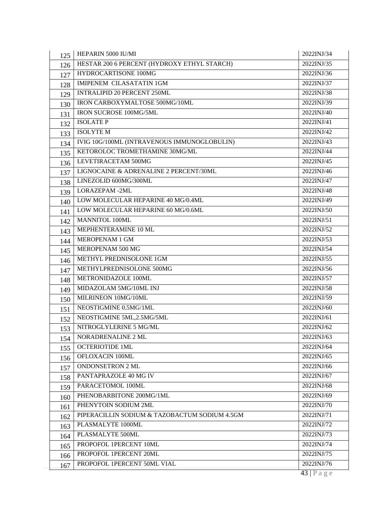| 125 | HEPARIN 5000 IU/MI                            | 2022INJ/34     |
|-----|-----------------------------------------------|----------------|
| 126 | HESTAR 200 6 PERCENT (HYDROXY ETHYL STARCH)   | 2022INJ/35     |
| 127 | HYDROCARTISONE 100MG                          | 2022INJ/36     |
| 128 | <b>IMIPENEM CILASATATIN 1GM</b>               | 2022INJ/37     |
| 129 | <b>INTRALIPID 20 PERCENT 250ML</b>            | 2022INJ/38     |
| 130 | IRON CARBOXYMALTOSE 500MG/10ML                | 2022INJ/39     |
| 131 | IRON SUCROSE 100MG/5ML                        | 2022INJ/40     |
| 132 | <b>ISOLATE P</b>                              | 2022INJ/41     |
| 133 | <b>ISOLYTE M</b>                              | 2022INJ/42     |
| 134 | IVIG 10G/100ML (INTRAVENOUS IMMUNOGLOBULIN)   | 2022INJ/43     |
| 135 | KETOROLOC TROMETHAMINE 30MG/ML                | 2022INJ/44     |
| 136 | LEVETIRACETAM 500MG                           | 2022INJ/45     |
| 137 | LIGNOCAINE & ADRENALINE 2 PERCENT/30ML        | 2022INJ/46     |
| 138 | LINEZOLID 600MG/300ML                         | 2022INJ/47     |
| 139 | <b>LORAZEPAM-2ML</b>                          | 2022INJ/48     |
| 140 | LOW MOLECULAR HEPARINE 40 MG/0.4ML            | 2022INJ/49     |
| 141 | LOW MOLECULAR HEPARINE 60 MG/0.6ML            | 2022INJ/50     |
| 142 | <b>MANNITOL 100ML</b>                         | 2022INJ/51     |
| 143 | MEPHENTERAMINE 10 ML                          | 2022INJ/52     |
| 144 | <b>MEROPENAM 1 GM</b>                         | 2022INJ/53     |
| 145 | MEROPENAM 500 MG                              | 2022INJ/54     |
| 146 | METHYL PREDNISOLONE 1GM                       | 2022INJ/55     |
| 147 | METHYLPREDNISOLONE 500MG                      | 2022INJ/56     |
| 148 | METRONIDAZOLE 100ML                           | 2022INJ/57     |
| 149 | MIDAZOLAM 5MG/10ML INJ                        | 2022INJ/58     |
| 150 | MILRINEON 10MG/10ML                           | 2022INJ/59     |
| 151 | NEOSTIGMINE 0.5MG/1ML                         | 2022INJ/60     |
| 152 | NEOSTIGMINE 5ML,2.5MG/5ML                     | 2022INJ/61     |
| 153 | NITROGLYLERINE 5 MG/ML                        | 2022INJ/62     |
| 154 | NORADRENALINE 2 ML                            | 2022INJ/63     |
| 155 | <b>OCTERIOTIDE 1ML</b>                        | 2022INJ/64     |
| 156 | OFLOXACIN 100ML                               | 2022INJ/65     |
| 157 | <b>ONDONSETRON 2 ML</b>                       | 2022INJ/66     |
| 158 | PANTAPRAZOLE 40 MG IV                         | 2022INJ/67     |
| 159 | PARACETOMOL 100ML                             | 2022INJ/68     |
| 160 | PHENOBARBITONE 200MG/1ML                      | 2022INJ/69     |
| 161 | PHENYTOIN SODIUM 2ML                          | 2022INJ/70     |
| 162 | PIPERACILLIN SODIUM & TAZOBACTUM SODIUM 4.5GM | 2022INJ/71     |
| 163 | PLASMALYTE 1000ML                             | 2022INJ/72     |
| 164 | PLASMALYTE 500ML                              | 2022INJ/73     |
| 165 | PROPOFOL 1PERCENT 10ML                        | 2022INJ/74     |
| 166 | PROPOFOL 1PERCENT 20ML                        | 2022INJ/75     |
| 167 | PROPOFOL 1PERCENT 50ML VIAL                   | 2022INJ/76     |
|     |                                               | $43$   P a g e |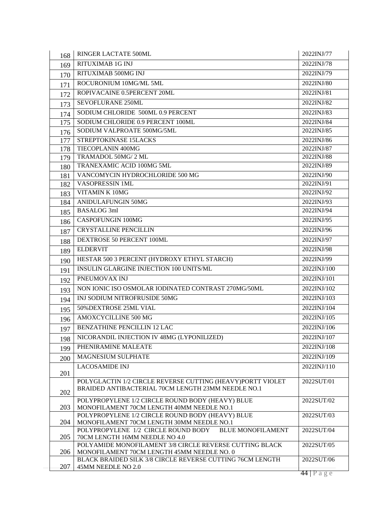| 168 | RINGER LACTATE 500ML                                                                                             | 2022INJ/77     |
|-----|------------------------------------------------------------------------------------------------------------------|----------------|
| 169 | <b>RITUXIMAB 1G INJ</b>                                                                                          | 2022INJ/78     |
| 170 | RITUXIMAB 500MG INJ                                                                                              | 2022INJ/79     |
| 171 | ROCURONIUM 10MG/ML 5ML                                                                                           | 2022INJ/80     |
| 172 | ROPIVACAINE 0.5PERCENT 20ML                                                                                      | 2022INJ/81     |
| 173 | SEVOFLURANE 250ML                                                                                                | 2022INJ/82     |
| 174 | SODIUM CHLORIDE 500ML 0.9 PERCENT                                                                                | 2022INJ/83     |
| 175 | SODIUM CHLORIDE 0.9 PERCENT 100ML                                                                                | 2022INJ/84     |
| 176 | SODIUM VALPROATE 500MG/5ML                                                                                       | 2022INJ/85     |
| 177 | STREPTOKINASE 15LACKS                                                                                            | 2022INJ/86     |
| 178 | TIECOPLANIN 400MG                                                                                                | 2022INJ/87     |
| 179 | TRAMADOL 50MG/2 ML                                                                                               | 2022INJ/88     |
| 180 | TRANEXAMIC ACID 100MG 5ML                                                                                        | 2022INJ/89     |
| 181 | VANCOMYCIN HYDROCHLORIDE 500 MG                                                                                  | 2022INJ/90     |
| 182 | VASOPRESSIN 1ML                                                                                                  | 2022INJ/91     |
| 183 | VITAMIN K 10MG                                                                                                   | 2022INJ/92     |
| 184 | <b>ANIDULAFUNGIN 50MG</b>                                                                                        | 2022INJ/93     |
| 185 | <b>BASALOG 3ml</b>                                                                                               | 2022INJ/94     |
| 186 | <b>CASPOFUNGIN 100MG</b>                                                                                         | 2022INJ/95     |
| 187 | <b>CRYSTALLINE PENCILLIN</b>                                                                                     | 2022INJ/96     |
| 188 | DEXTROSE 50 PERCENT 100ML                                                                                        | 2022INJ/97     |
| 189 | <b>ELDERVIT</b>                                                                                                  | 2022INJ/98     |
| 190 | HESTAR 500 3 PERCENT (HYDROXY ETHYL STARCH)                                                                      | 2022INJ/99     |
| 191 | INSULIN GLARGINE INJECTION 100 UNITS/ML                                                                          | 2022INJ/100    |
| 192 | PNEUMOVAX INJ                                                                                                    | 2022INJ/101    |
| 193 | NON IONIC ISO OSMOLAR IODINATED CONTRAST 270MG/50ML                                                              | 2022INJ/102    |
| 194 | INJ SODIUM NITROFRUSIDE 50MG                                                                                     | 2022INJ/103    |
| 195 | 50% DEXTROSE 25ML VIAL                                                                                           | 2022INJ/104    |
| 196 | <b>AMOXCYCILLINE 500 MG</b>                                                                                      | 2022INJ/105    |
| 197 | <b>BENZATHINE PENCILLIN 12 LAC</b>                                                                               | 2022INJ/106    |
| 198 | NICORANDIL INJECTION IV 48MG (LYPONILIZED)                                                                       | 2022INJ/107    |
| 199 | PHENIRAMINE MALEATE                                                                                              | 2022INJ/108    |
| 200 | MAGNESIUM SULPHATE                                                                                               | 2022INJ/109    |
|     | <b>LACOSAMIDE INJ</b>                                                                                            | 2022INJ/110    |
| 201 |                                                                                                                  |                |
|     | POLYGLACTIN 1/2 CIRCLE REVERSE CUTTING (HEAVY)PORTT VIOLET<br>BRAIDED ANTIBACTERIAL 70CM LENGTH 23MM NEEDLE NO.1 | 2022SUT/01     |
| 202 |                                                                                                                  |                |
| 203 | POLYPROPYLENE 1/2 CIRCLE ROUND BODY (HEAVY) BLUE<br>MONOFILAMENT 70CM LENGTH 40MM NEEDLE NO.1                    | 2022SUT/02     |
|     | POLYPROPYLENE 1/2 CIRCLE ROUND BODY (HEAVY) BLUE                                                                 | 2022SUT/03     |
| 204 | MONOFILAMENT 70CM LENGTH 30MM NEEDLE NO.1                                                                        |                |
|     | POLYPROPYLENE 1/2 CIRCLE ROUND BODY BLUE MONOFILAMENT                                                            | 2022SUT/04     |
| 205 | 70CM LENGTH 16MM NEEDLE NO 4.0                                                                                   |                |
| 206 | POLYAMIDE MONOFILAMENT 3/8 CIRCLE REVERSE CUTTING BLACK<br>MONOFILAMENT 70CM LENGTH 45MM NEEDLE NO. 0            | 2022SUT/05     |
|     | BLACK BRAIDED SILK 3/8 CIRCLE REVERSE CUTTING 76CM LENGTH                                                        | 2022SUT/06     |
| 207 | 45MM NEEDLE NO 2.0                                                                                               |                |
|     |                                                                                                                  | $44$   P a g e |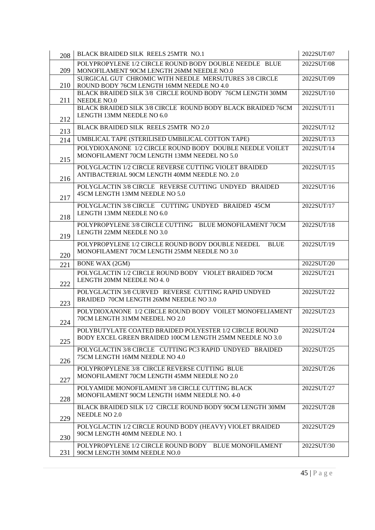| 208 | BLACK BRAIDED SILK REELS 25MTR NO.1                                                        | 2022SUT/07 |
|-----|--------------------------------------------------------------------------------------------|------------|
|     | POLYPROPYLENE 1/2 CIRCLE ROUND BODY DOUBLE NEEDLE BLUE                                     | 2022SUT/08 |
| 209 | MONOFILAMENT 90CM LENGTH 26MM NEEDLE NO.0                                                  |            |
|     | SURGICAL GUT CHROMIC WITH NEEDLE MERSUTURES 3/8 CIRCLE                                     | 2022SUT/09 |
| 210 | ROUND BODY 76CM LENGTH 16MM NEEDLE NO 4.0                                                  |            |
|     | BLACK BRAIDED SILK 3/8 CIRCLE ROUND BODY 76CM LENGTH 30MM                                  | 2022SUT/10 |
| 211 | NEEDLE NO.0                                                                                |            |
|     | BLACK BRAIDED SILK 3/8 CIRCLE ROUND BODY BLACK BRAIDED 76CM<br>LENGTH 13MM NEEDLE NO 6.0   | 2022SUT/11 |
| 212 |                                                                                            |            |
| 213 | BLACK BRAIDED SILK REELS 25MTR NO 2.0                                                      | 2022SUT/12 |
| 214 | UMBLICAL TAPE (STERILISED UMBILICAL COTTON TAPE)                                           | 2022SUT/13 |
|     | POLYDIOXANONE 1/2 CIRCLE ROUND BODY DOUBLE NEEDLE VOILET                                   | 2022SUT/14 |
|     | MONOFILAMENT 70CM LENGTH 13MM NEEDEL NO 5.0                                                |            |
| 215 |                                                                                            |            |
|     | POLYGLACTIN 1/2 CIRCLE REVERSE CUTTING VIOLET BRAIDED                                      | 2022SUT/15 |
| 216 | ANTIBACTERIAL 90CM LENGTH 40MM NEEDLE NO. 2.0                                              |            |
|     | POLYGLACTIN 3/8 CIRCLE REVERSE CUTTING UNDYED BRAIDED                                      | 2022SUT/16 |
|     | 45CM LENGTH 13MM NEEDLE NO 5.0                                                             |            |
| 217 |                                                                                            |            |
|     | POLYGLACTIN 3/8 CIRCLE CUTTING UNDYED BRAIDED 45CM<br>LENGTH 13MM NEEDLE NO 6.0            | 2022SUT/17 |
| 218 |                                                                                            |            |
|     | POLYPROPYLENE 3/8 CIRCLE CUTTING BLUE MONOFILAMENT 70CM                                    | 2022SUT/18 |
| 219 | LENGTH 22MM NEEDLE NO 3.0                                                                  |            |
|     | POLYPROPYLENE 1/2 CIRCLE ROUND BODY DOUBLE NEEDEL<br><b>BLUE</b>                           | 2022SUT/19 |
|     | MONOFILAMENT 70CM LENGTH 25MM NEEDLE NO 3.0                                                |            |
| 220 |                                                                                            |            |
| 221 | <b>BONE WAX (2GM)</b>                                                                      | 2022SUT/20 |
|     | POLYGLACTIN 1/2 CIRCLE ROUND BODY VIOLET BRAIDED 70CM                                      | 2022SUT/21 |
| 222 | LENGTH 20MM NEEDLE NO 4.0                                                                  |            |
|     | POLYGLACTIN 3/8 CURVED REVERSE CUTTING RAPID UNDYED                                        | 2022SUT/22 |
|     | BRAIDED 70CM LENGTH 26MM NEEDLE NO 3.0                                                     |            |
| 223 |                                                                                            |            |
|     | POLYDIOXANONE 1/2 CIRCLE ROUND BODY VOILET MONOFELIAMENT<br>70CM LENGTH 31MM NEEDEL NO 2.0 | 2022SUT/23 |
| 224 |                                                                                            |            |
|     | POLYBUTYLATE COATED BRAIDED POLYESTER 1/2 CIRCLE ROUND                                     | 2022SUT/24 |
| 225 | BODY EXCEL GREEN BRAIDED 100CM LENGTH 25MM NEEDLE NO 3.0                                   |            |
|     | POLYGLACTIN 3/8 CIRCLE CUTTING PC3 RAPID UNDYED BRAIDED                                    | 2022SUT/25 |
|     | 75CM LENGTH 16MM NEEDLE NO 4.0                                                             |            |
| 226 |                                                                                            |            |
|     | POLYPROPYLENE 3/8 CIRCLE REVERSE CUTTING BLUE                                              | 2022SUT/26 |
| 227 | MONOFILAMENT 70CM LENGTH 45MM NEEDLE NO 2.0                                                |            |
|     | POLYAMIDE MONOFILAMENT 3/8 CIRCLE CUTTING BLACK                                            | 2022SUT/27 |
|     | MONOFILAMENT 90CM LENGTH 16MM NEEDLE NO. 4-0                                               |            |
| 228 |                                                                                            |            |
|     | BLACK BRAIDED SILK 1/2 CIRCLE ROUND BODY 90CM LENGTH 30MM                                  | 2022SUT/28 |
| 229 | NEEDLE NO 2.0                                                                              |            |
|     | POLYGLACTIN 1/2 CIRCLE ROUND BODY (HEAVY) VIOLET BRAIDED                                   | 2022SUT/29 |
| 230 | 90CM LENGTH 40MM NEEDLE NO. 1                                                              |            |
|     | POLYPROPYLENE 1/2 CIRCLE ROUND BODY BLUE MONOFILAMENT                                      | 2022SUT/30 |
| 231 | 90CM LENGTH 30MM NEEDLE NO.0                                                               |            |
|     |                                                                                            |            |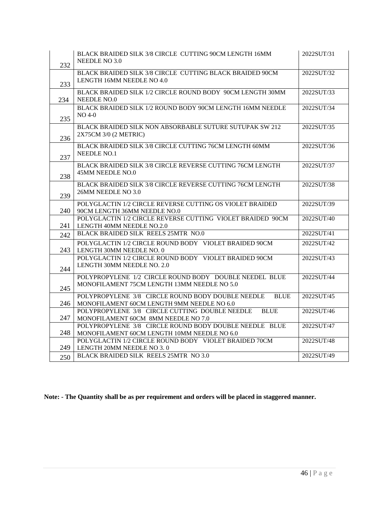| 232 | BLACK BRAIDED SILK 3/8 CIRCLE CUTTING 90CM LENGTH 16MM<br>NEEDLE NO 3.0                                        | 2022SUT/31 |
|-----|----------------------------------------------------------------------------------------------------------------|------------|
| 233 | BLACK BRAIDED SILK 3/8 CIRCLE CUTTING BLACK BRAIDED 90CM<br>LENGTH 16MM NEEDLE NO 4.0                          | 2022SUT/32 |
| 234 | BLACK BRAIDED SILK 1/2 CIRCLE ROUND BODY 90CM LENGTH 30MM<br>NEEDLE NO.0                                       | 2022SUT/33 |
| 235 | BLACK BRAIDED SILK 1/2 ROUND BODY 90CM LENGTH 16MM NEEDLE<br>NO 4-0                                            | 2022SUT/34 |
| 236 | BLACK BRAIDED SILK NON ABSORBABLE SUTURE SUTUPAK SW 212<br>2X75CM 3/0 (2 METRIC)                               | 2022SUT/35 |
| 237 | BLACK BRAIDED SILK 3/8 CIRCLE CUTTING 76CM LENGTH 60MM<br><b>NEEDLE NO.1</b>                                   | 2022SUT/36 |
| 238 | BLACK BRAIDED SILK 3/8 CIRCLE REVERSE CUTTING 76CM LENGTH<br>45MM NEEDLE NO.0                                  | 2022SUT/37 |
| 239 | BLACK BRAIDED SILK 3/8 CIRCLE REVERSE CUTTING 76CM LENGTH<br>26MM NEEDLE NO 3.0                                | 2022SUT/38 |
| 240 | POLYGLACTIN 1/2 CIRCLE REVERSE CUTTING OS VIOLET BRAIDED<br>90CM LENGTH 36MM NEEDLE NO.0                       | 2022SUT/39 |
| 241 | POLYGLACTIN 1/2 CIRCLE REVERSE CUTTING VIOLET BRAIDED 90CM<br>LENGTH 40MM NEEDLE NO.2.0                        | 2022SUT/40 |
| 242 | BLACK BRAIDED SILK REELS 25MTR NO.0                                                                            | 2022SUT/41 |
| 243 | POLYGLACTIN 1/2 CIRCLE ROUND BODY VIOLET BRAIDED 90CM<br>LENGTH 30MM NEEDLE NO. 0                              | 2022SUT/42 |
| 244 | POLYGLACTIN 1/2 CIRCLE ROUND BODY VIOLET BRAIDED 90CM<br>LENGTH 30MM NEEDLE NO. 2.0                            | 2022SUT/43 |
| 245 | POLYPROPYLENE 1/2 CIRCLE ROUND BODY DOUBLE NEEDEL BLUE<br>MONOFILAMENT 75CM LENGTH 13MM NEEDLE NO 5.0          | 2022SUT/44 |
| 246 | POLYPROPYLENE 3/8 CIRCLE ROUND BODY DOUBLE NEEDLE<br><b>BLUE</b><br>MONOFILAMENT 60CM LENGTH 9MM NEEDLE NO 6.0 | 2022SUT/45 |
| 247 | POLYPROPYLENE 3/8 CIRCLE CUTTING DOUBLE NEEDLE<br><b>BLUE</b><br>MONOFILAMENT 60CM 8MM NEEDLE NO 7.0           | 2022SUT/46 |
| 248 | POLYPROPYLENE 3/8 CIRCLE ROUND BODY DOUBLE NEEDLE BLUE<br>MONOFILAMENT 60CM LENGTH 10MM NEEDLE NO 6.0          | 2022SUT/47 |
| 249 | POLYGLACTIN 1/2 CIRCLE ROUND BODY VIOLET BRAIDED 70CM<br>LENGTH 20MM NEEDLE NO 3.0                             | 2022SUT/48 |
| 250 | BLACK BRAIDED SILK REELS 25MTR NO 3.0                                                                          | 2022SUT/49 |

**Note: - The Quantity shall be as per requirement and orders will be placed in staggered manner.**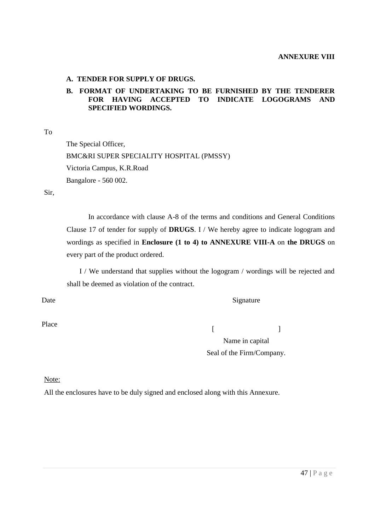#### **A. TENDER FOR SUPPLY OF DRUGS.**

#### **B. FORMAT OF UNDERTAKING TO BE FURNISHED BY THE TENDERER FOR HAVING ACCEPTED TO INDICATE LOGOGRAMS AND SPECIFIED WORDINGS.**

To

The Special Officer, BMC&RI SUPER SPECIALITY HOSPITAL (PMSSY) Victoria Campus, K.R.Road Bangalore - 560 002.

Sir,

In accordance with clause A-8 of the terms and conditions and General Conditions Clause 17 of tender for supply of **DRUGS**. I / We hereby agree to indicate logogram and wordings as specified in **Enclosure (1 to 4) to ANNEXURE VIII-A** on **the DRUGS** on every part of the product ordered.

I / We understand that supplies without the logogram / wordings will be rejected and shall be deemed as violation of the contract.

Date

Place

Signature

 $[$   $]$ Name in capital Seal of the Firm/Company.

Note:

All the enclosures have to be duly signed and enclosed along with this Annexure.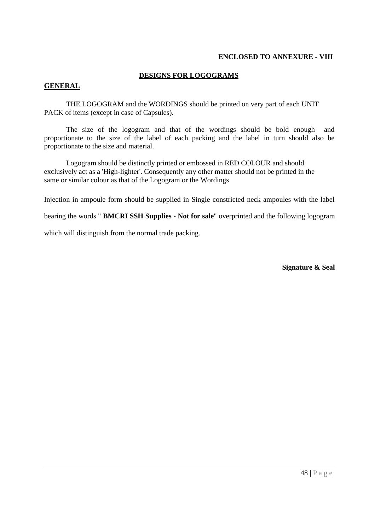#### **ENCLOSED TO ANNEXURE - VIII**

#### **DESIGNS FOR LOGOGRAMS**

#### **GENERAL**

THE LOGOGRAM and the WORDINGS should be printed on very part of each UNIT PACK of items (except in case of Capsules).

The size of the logogram and that of the wordings should be bold enough and proportionate to the size of the label of each packing and the label in turn should also be proportionate to the size and material.

Logogram should be distinctly printed or embossed in RED COLOUR and should exclusively act as a 'High-lighter'. Consequently any other matter should not be printed in the same or similar colour as that of the Logogram or the Wordings

Injection in ampoule form should be supplied in Single constricted neck ampoules with the label

bearing the words " **BMCRI SSH Supplies - Not for sale**" overprinted and the following logogram

which will distinguish from the normal trade packing.

**Signature & Seal**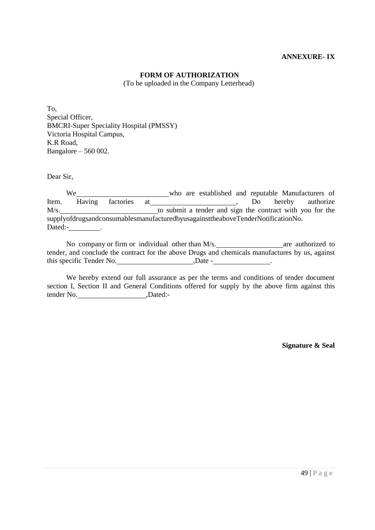#### **ANNEXURE- IX**

#### **FORM OF AUTHORIZATION**

(To be uploaded in the Company Letterhead)

To, Special Officer, BMCRI-Super Speciality Hospital (PMSSY) Victoria Hospital Campus, K.R Road, Bangalore – 560 002.

Dear Sir,

We who are established and reputable Manufacturers of Item. Having factories at 1986 authorize 1. Do hereby authorize M/s. **the submit a tender and sign the contract with you for the** supplyofdrugsandconsumablesmanufacturedbyusagainsttheaboveTenderNotificationNo. Dated: The contract of the contract of the contract of the contract of the contract of the contract of the contract of the contract of the contract of the contract of the contract of the contract of the contract of the con

No company or firm or individual other than  $M/s$ . are authorized to tender, and conclude the contract for the above Drugs and chemicals manufactures by us, against this specific Tender No. 5. Date -

We hereby extend our full assurance as per the terms and conditions of tender document section I, Section II and General Conditions offered for supply by the above firm against this tender No. ,Dated:-

**Signature & Seal**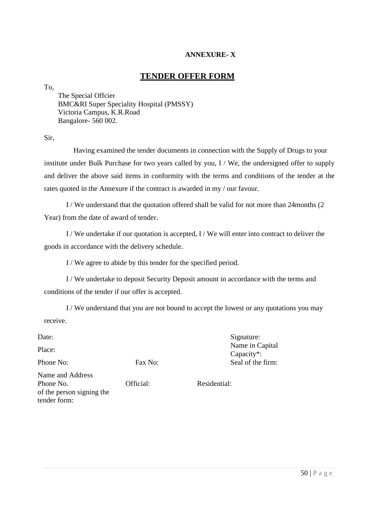## **ANNEXURE- X**

## **TENDER OFFER FORM**

To,

The Special Offcier BMC&RI Super Speciality Hospital (PMSSY) Victoria Campus, K.R.Road Bangalore- 560 002.

Sir,

Having examined the tender documents in connection with the Supply of Drugs to your institute under Bulk Purchase for two years called by you, I / We, the undersigned offer to supply and deliver the above said items in conformity with the terms and conditions of the tender at the rates quoted in the Annexure if the contract is awarded in my / our favour.

I / We understand that the quotation offered shall be valid for not more than 24months (2 Year) from the date of award of tender.

I / We undertake if our quotation is accepted, I / We will enter into contract to deliver the goods in accordance with the delivery schedule.

I / We agree to abide by this tender for the specified period.

I / We undertake to deposit Security Deposit amount in accordance with the terms and conditions of the tender if our offer is accepted.

I / We understand that you are not bound to accept the lowest or any quotations you may receive.

Date:

Place:

Phone No: Fax No:

Signature: Name in Capital Capacity\*: Seal of the firm:

Name and Address Phone No. of the person signing the tender form:

Official: Residential: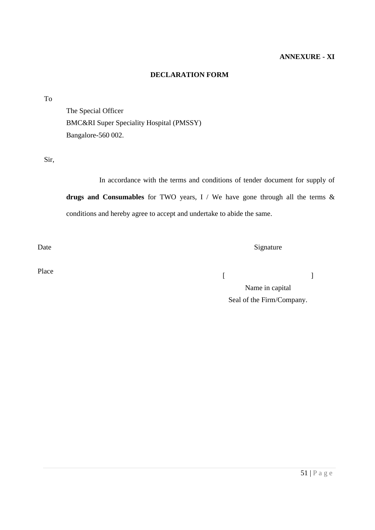#### **DECLARATION FORM**

To

The Special Officer BMC&RI Super Speciality Hospital (PMSSY) Bangalore-560 002.

Sir,

In accordance with the terms and conditions of tender document for supply of **drugs and Consumables** for TWO years, I / We have gone through all the terms & conditions and hereby agree to accept and undertake to abide the same.

Date

Place

 $[$ 

Name in capital Seal of the Firm/Company.

Signature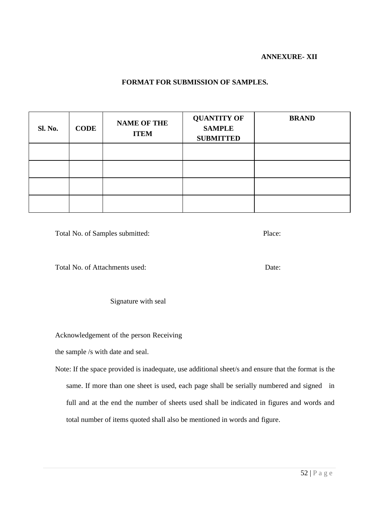#### **ANNEXURE- XII**

#### **FORMAT FOR SUBMISSION OF SAMPLES.**

| <b>Sl. No.</b> | <b>CODE</b> | <b>NAME OF THE</b><br><b>ITEM</b> | <b>QUANTITY OF</b><br><b>SAMPLE</b><br><b>SUBMITTED</b> | <b>BRAND</b> |
|----------------|-------------|-----------------------------------|---------------------------------------------------------|--------------|
|                |             |                                   |                                                         |              |
|                |             |                                   |                                                         |              |
|                |             |                                   |                                                         |              |
|                |             |                                   |                                                         |              |

Total No. of Samples submitted: Place: Place:

Total No. of Attachments used: Date: Date:

Signature with seal

Acknowledgement of the person Receiving

the sample /s with date and seal.

Note: If the space provided is inadequate, use additional sheet/s and ensure that the format is the same. If more than one sheet is used, each page shall be serially numbered and signed in full and at the end the number of sheets used shall be indicated in figures and words and total number of items quoted shall also be mentioned in words and figure.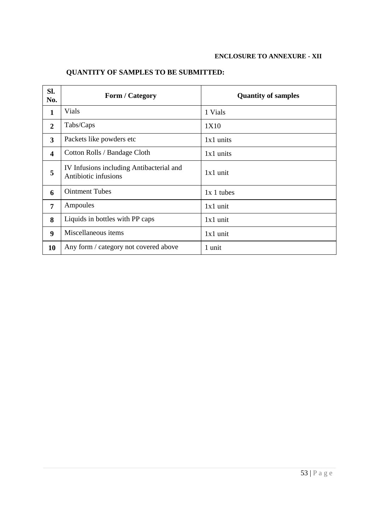#### **ENCLOSURE TO ANNEXURE - XII**

## **QUANTITY OF SAMPLES TO BE SUBMITTED:**

| SI.<br>No.              | <b>Form / Category</b>                                           | <b>Quantity of samples</b> |
|-------------------------|------------------------------------------------------------------|----------------------------|
| $\mathbf{1}$            | Vials                                                            | 1 Vials                    |
| $\overline{2}$          | Tabs/Caps                                                        | 1X10                       |
| 3                       | Packets like powders etc                                         | $1x1$ units                |
| $\overline{\mathbf{4}}$ | Cotton Rolls / Bandage Cloth                                     | $1x1$ units                |
| 5                       | IV Infusions including Antibacterial and<br>Antibiotic infusions | $1x1$ unit                 |
| 6                       | <b>Ointment Tubes</b>                                            | $1x 1$ tubes               |
| 7                       | Ampoules                                                         | $1x1$ unit                 |
| 8                       | Liquids in bottles with PP caps                                  | $1x1$ unit                 |
| $\boldsymbol{9}$        | Miscellaneous items                                              | $1x1$ unit                 |
| 10                      | Any form / category not covered above                            | 1 unit                     |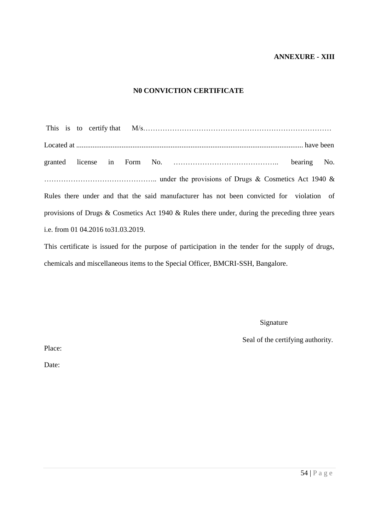#### **ANNEXURE - XIII**

#### **N0 CONVICTION CERTIFICATE**

This is to certify that M/s…………………………………………………………………… Located at ............................................................................................................................. have been granted license in Form No. …………………………………….. bearing No. ……………………………………….. under the provisions of Drugs & Cosmetics Act 1940 & Rules there under and that the said manufacturer has not been convicted for violation of provisions of Drugs & Cosmetics Act 1940 & Rules there under, during the preceding three years i.e. from 01 04.2016 to31.03.2019.

This certificate is issued for the purpose of participation in the tender for the supply of drugs, chemicals and miscellaneous items to the Special Officer, BMCRI-SSH, Bangalore.

Signature

Seal of the certifying authority.

Place:

Date: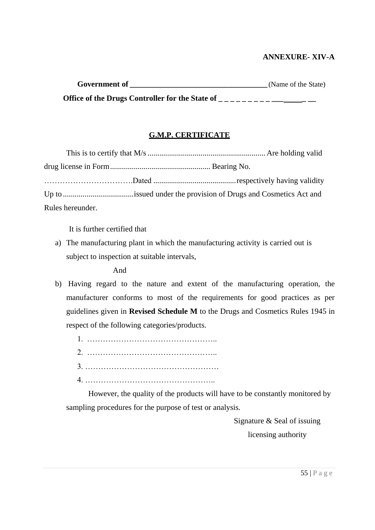## **ANNEXURE- XIV-A**

| <b>Government of</b>                            | (Name of the State) |
|-------------------------------------------------|---------------------|
| Office of the Drugs Controller for the State of |                     |

## **G.M.P. CERTIFICATE**

| Rules hereunder. |  |
|------------------|--|

It is further certified that

a) The manufacturing plant in which the manufacturing activity is carried out is subject to inspection at suitable intervals,

And

b) Having regard to the nature and extent of the manufacturing operation, the manufacturer conforms to most of the requirements for good practices as per guidelines given in **Revised Schedule M** to the Drugs and Cosmetics Rules 1945 in respect of the following categories/products.

However, the quality of the products will have to be constantly monitored by sampling procedures for the purpose of test or analysis.

> Signature & Seal of issuing licensing authority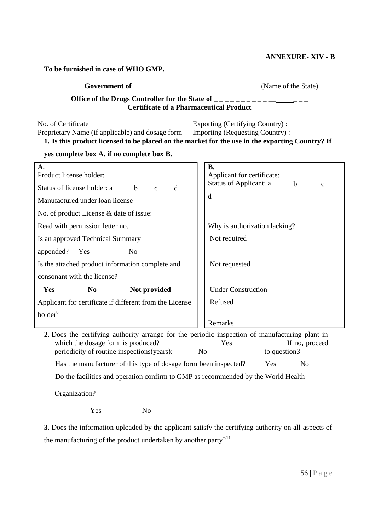#### **ANNEXURE- XIV - B**

**To be furnished in case of WHO GMP.**

| Government of                                   | (Name of the State) |
|-------------------------------------------------|---------------------|
| Office of the Drugs Controller for the State of |                     |

**Certificate of a Pharmaceutical Product**

No. of Certificate Proprietary Name (if applicable) and dosage form Exporting (Certifying Country) : Importing (Requesting Country) : **1. Is this product licensed to be placed on the market for the use in the exporting Country? If** 

**yes complete box A. if no complete box B.**

| A.                                                                                           | <b>B.</b>                                             |  |  |  |  |  |  |  |  |
|----------------------------------------------------------------------------------------------|-------------------------------------------------------|--|--|--|--|--|--|--|--|
| Product license holder:                                                                      | Applicant for certificate:                            |  |  |  |  |  |  |  |  |
| Status of license holder: a<br>$\mathbf b$<br>d<br>$\mathbf{c}$                              | Status of Applicant: a<br>$\mathbf b$<br>$\mathbf{C}$ |  |  |  |  |  |  |  |  |
| Manufactured under loan license                                                              | d                                                     |  |  |  |  |  |  |  |  |
| No. of product License & date of issue:                                                      |                                                       |  |  |  |  |  |  |  |  |
| Read with permission letter no.                                                              | Why is authorization lacking?                         |  |  |  |  |  |  |  |  |
| Is an approved Technical Summary                                                             | Not required                                          |  |  |  |  |  |  |  |  |
| appended?<br>Yes<br>N <sub>0</sub>                                                           |                                                       |  |  |  |  |  |  |  |  |
| Is the attached product information complete and                                             | Not requested                                         |  |  |  |  |  |  |  |  |
| consonant with the license?                                                                  |                                                       |  |  |  |  |  |  |  |  |
| Yes<br>N <sub>0</sub><br>Not provided                                                        | <b>Under Construction</b>                             |  |  |  |  |  |  |  |  |
| Applicant for certificate if different from the License                                      | Refused                                               |  |  |  |  |  |  |  |  |
| holder <sup>8</sup>                                                                          |                                                       |  |  |  |  |  |  |  |  |
|                                                                                              | Remarks                                               |  |  |  |  |  |  |  |  |
| 2. Dogs the cortifiung supporty errors for the periodic inspection of menufacturing plant in |                                                       |  |  |  |  |  |  |  |  |

**2.** Does the certifying authority arrange for the periodic inspection of manufacturing plant in which the dosage form is produced? The Yes If no, proceed periodicity of routine inspections(years): No to question3 Has the manufacturer of this type of dosage form been inspected? Yes No Do the facilities and operation confirm to GMP as recommended by the World Health

Organization?

Yes No

**3.** Does the information uploaded by the applicant satisfy the certifying authority on all aspects of the manufacturing of the product undertaken by another party? $11$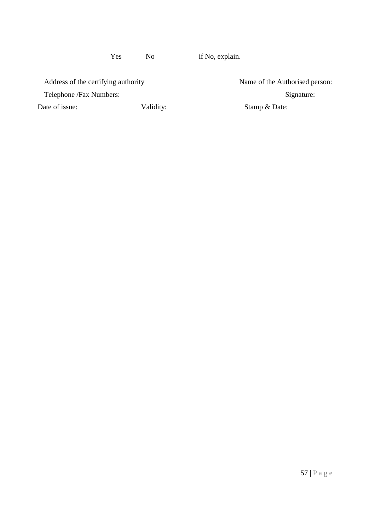Yes No if No, explain.

Address of the certifying authority Name of the Authorised person:

Telephone /Fax Numbers: Signature: Signature: Signature: Signature: Signature: Signature: Signature: Signature: Signature: Signature: Signature: Signature: Signature: Signature: Signature: Signature: Signature: Signature: Date of issue: Validity: Stamp & Date: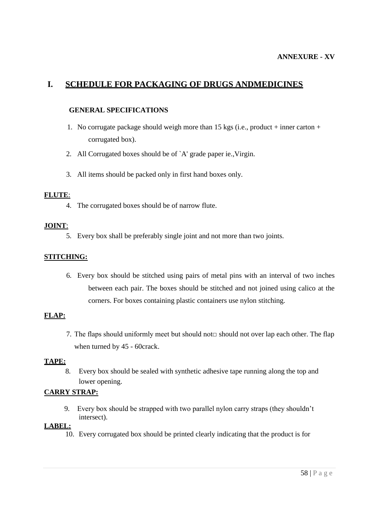# **I. SCHEDULE FOR PACKAGING OF DRUGS ANDMEDICINES**

#### **GENERAL SPECIFICATIONS**

- 1. No corrugate package should weigh more than 15 kgs (i.e., product + inner carton + corrugated box).
- 2. All Corrugated boxes should be of `A' grade paper ie.,Virgin.
- 3. All items should be packed only in first hand boxes only.

#### **FLUTE**:

4. The corrugated boxes should be of narrow flute.

#### **JOINT**:

5. Every box shall be preferably single joint and not more than two joints.

#### **STITCHING:**

6. Every box should be stitched using pairs of metal pins with an interval of two inches between each pair. The boxes should be stitched and not joined using calico at the corners. For boxes containing plastic containers use nylon stitching.

## **FLAP:**

7. The flaps should uniformly meet but should not  $\Box$  should not over lap each other. The flap when turned by 45 - 60crack.

#### **TAPE:**

8. Every box should be sealed with synthetic adhesive tape running along the top and lower opening.

#### **CARRY STRAP:**

9. Every box should be strapped with two parallel nylon carry straps (they shouldn"t intersect).

#### **LABEL:**

10. Every corrugated box should be printed clearly indicating that the product is for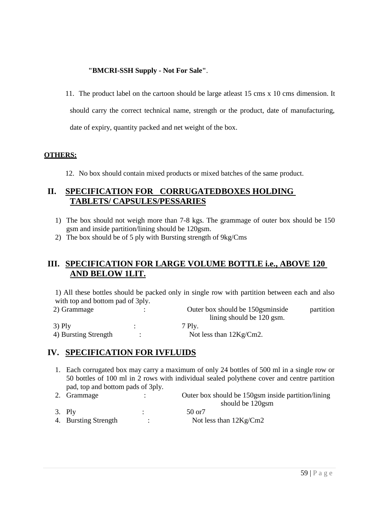#### **"BMCRI-SSH Supply - Not For Sale"**.

11. The product label on the cartoon should be large atleast 15 cms x 10 cms dimension. It should carry the correct technical name, strength or the product, date of manufacturing, date of expiry, quantity packed and net weight of the box.

#### **OTHERS:**

12. No box should contain mixed products or mixed batches of the same product.

## **II. SPECIFICATION FOR CORRUGATEDBOXES HOLDING TABLETS/ CAPSULES/PESSARIES**

- 1) The box should not weigh more than 7-8 kgs. The grammage of outer box should be 150 gsm and inside partition/lining should be 120gsm.
- 2) The box should be of 5 ply with Bursting strength of 9kg/Cms

## **III. SPECIFICATION FOR LARGE VOLUME BOTTLE i.e., ABOVE 120 AND BELOW 1LIT.**

1) All these bottles should be packed only in single row with partition between each and also with top and bottom pad of 3ply.

| 2) Grammage          | Outer box should be 150g sminside | partition |
|----------------------|-----------------------------------|-----------|
|                      | lining should be 120 gsm.         |           |
| $3)$ Ply             | 7 Plv.                            |           |
| 4) Bursting Strength | Not less than $12Kg/cm2$ .        |           |

## **IV. SPECIFICATION FOR IVFLUIDS**

- 1. Each corrugated box may carry a maximum of only 24 bottles of 500 ml in a single row or 50 bottles of 100 ml in 2 rows with individual sealed polythene cover and centre partition pad, top and bottom pads of 3ply.
- 2. Grammage : Outer box should be 150gsm inside partition/lining should be 120gsm
- 3. Ply : 50 or7
- 4. Bursting Strength : Not less than  $12\text{Kg/cm2}$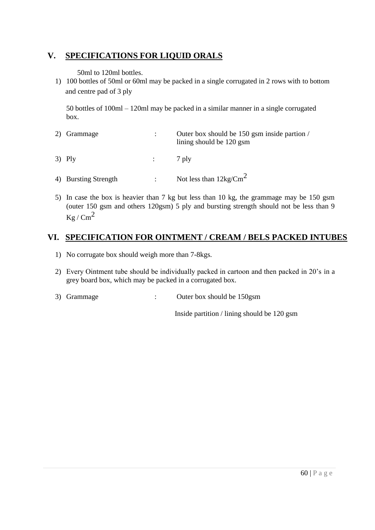## **V. SPECIFICATIONS FOR LIQUID ORALS**

50ml to 120ml bottles.

1) 100 bottles of 50ml or 60ml may be packed in a single corrugated in 2 rows with to bottom and centre pad of 3 ply

50 bottles of 100ml – 120ml may be packed in a similar manner in a single corrugated box.

| 2) Grammage          | $\ddot{\phantom{a}}$ | Outer box should be 150 gsm inside partion /<br>lining should be 120 gsm |
|----------------------|----------------------|--------------------------------------------------------------------------|
| $3)$ Ply             | $\frac{1}{2}$ 7 plv  |                                                                          |
| 4) Bursting Strength | $\mathcal{L}$        | Not less than $12 \text{kg/cm}^2$                                        |

5) In case the box is heavier than 7 kg but less than 10 kg, the grammage may be 150 gsm (outer 150 gsm and others 120gsm) 5 ply and bursting strength should not be less than 9  $Kg$  / Cm<sup>2</sup>

# **VI. SPECIFICATION FOR OINTMENT / CREAM / BELS PACKED INTUBES**

- 1) No corrugate box should weigh more than 7-8kgs.
- 2) Every Ointment tube should be individually packed in cartoon and then packed in 20"s in a grey board box, which may be packed in a corrugated box.
- 3) Grammage : Outer box should be 150gsm

Inside partition / lining should be 120 gsm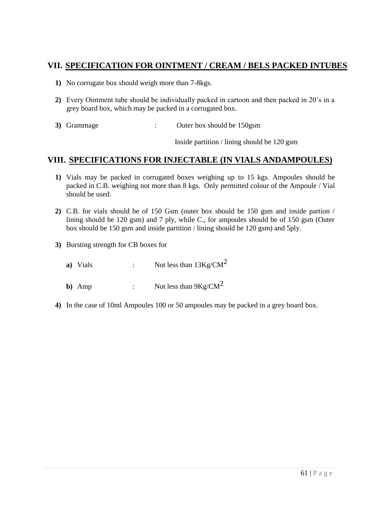## **VII. SPECIFICATION FOR OINTMENT / CREAM / BELS PACKED INTUBES**

- **1)** No corrugate box should weigh more than 7-8kgs.
- **2)** Every Ointment tube should be individually packed in cartoon and then packed in 20"s in a grey board box, which may be packed in a corrugated box.
- **3)** Grammage : Outer box should be 150gsm

Inside partition / lining should be 120 gsm

## **VIII. SPECIFICATIONS FOR INJECTABLE (IN VIALS ANDAMPOULES)**

- **1)** Vials may be packed in corrugated boxes weighing up to 15 kgs. Ampoules should be packed in C.B. weighing not more than 8 kgs. Only permitted colour of the Ampoule / Vial should be used.
- **2)** C.B. for vials should be of 150 Gsm (outer box should be 150 gsm and inside partion / lining should be 120 gsm) and 7 ply, while C., for ampoules should be of 150 gsm (Outer box should be 150 gsm and inside partition / lining should be 120 gsm) and 5ply.
- **3)** Bursting strength for CB boxes for
	- **a**) Vials : Not less than  $13Kg/CM^2$
	- **b**) Amp : Not less than  $9Kg/CM^2$
- **4)** In the case of 10ml Ampoules 100 or 50 ampoules may be packed in a grey board box.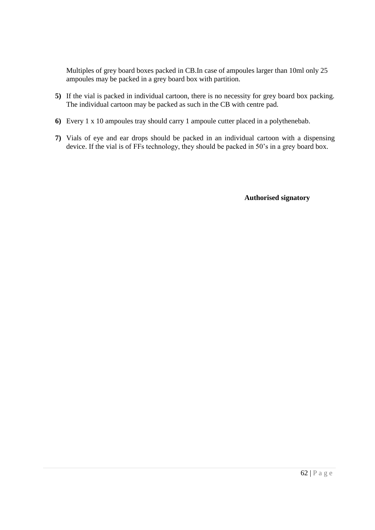Multiples of grey board boxes packed in CB.In case of ampoules larger than 10ml only 25 ampoules may be packed in a grey board box with partition.

- **5)** If the vial is packed in individual cartoon, there is no necessity for grey board box packing. The individual cartoon may be packed as such in the CB with centre pad.
- **6)** Every 1 x 10 ampoules tray should carry 1 ampoule cutter placed in a polythenebab.
- **7)** Vials of eye and ear drops should be packed in an individual cartoon with a dispensing device. If the vial is of FFs technology, they should be packed in 50"s in a grey board box.

**Authorised signatory**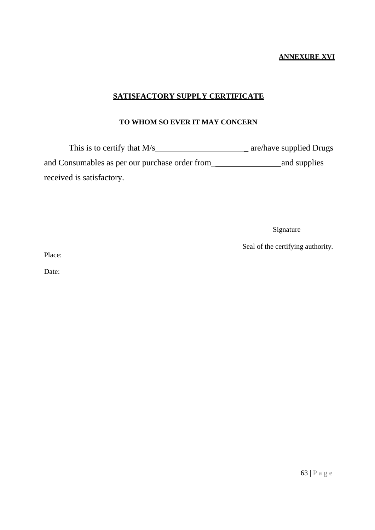#### **ANNEXURE XVI**

## **SATISFACTORY SUPPLY CERTIFICATE**

## **TO WHOM SO EVER IT MAY CONCERN**

This is to certify that M/s \_ are/have supplied Drugs and Consumables as per our purchase order from\_ and supplies received is satisfactory.

Signature

Seal of the certifying authority.

Place:

Date: